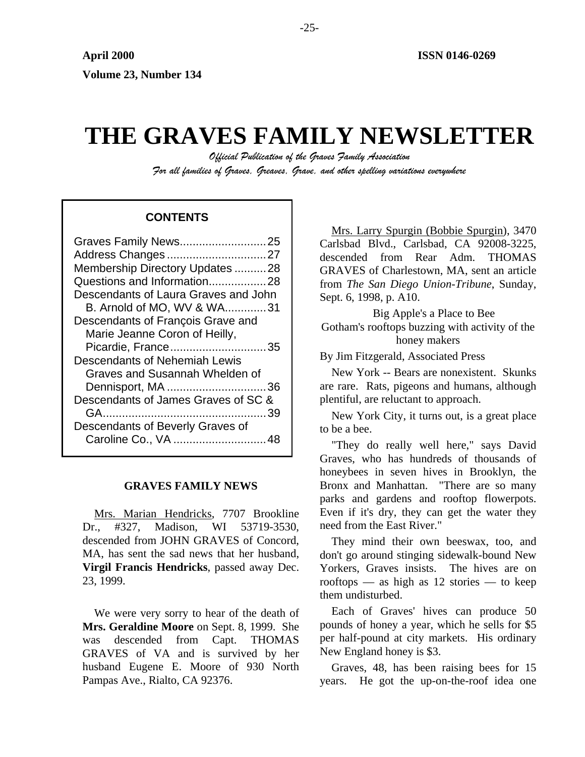# **THE GRAVES FAMILY NEWSLETTER**

*Official Publication of the Graves Family Association For all families of Graves, Greaves, Grave, and other spelling variations everywhere* 

# **CONTENTS**

| Graves Family News25                 |
|--------------------------------------|
| Address Changes27                    |
| Membership Directory Updates 28      |
| Questions and Information28          |
| Descendants of Laura Graves and John |
| B. Arnold of MO, WV & WA31           |
| Descendants of François Grave and    |
| Marie Jeanne Coron of Heilly,        |
| Picardie, France35                   |
| Descendants of Nehemiah Lewis        |
| Graves and Susannah Whelden of       |
| Dennisport, MA 36                    |
| Descendants of James Graves of SC &  |
|                                      |
| Descendants of Beverly Graves of     |
| Caroline Co., VA  48                 |
|                                      |

# **GRAVES FAMILY NEWS**

Mrs. Marian Hendricks, 7707 Brookline Dr., #327, Madison, WI 53719-3530, descended from JOHN GRAVES of Concord, MA, has sent the sad news that her husband, **Virgil Francis Hendricks**, passed away Dec. 23, 1999.

We were very sorry to hear of the death of **Mrs. Geraldine Moore** on Sept. 8, 1999. She was descended from Capt. THOMAS GRAVES of VA and is survived by her husband Eugene E. Moore of 930 North Pampas Ave., Rialto, CA 92376.

Mrs. Larry Spurgin (Bobbie Spurgin), 3470 Carlsbad Blvd., Carlsbad, CA 92008-3225, descended from Rear Adm. THOMAS GRAVES of Charlestown, MA, sent an article from *The San Diego Union-Tribune*, Sunday, Sept. 6, 1998, p. A10.

Big Apple's a Place to Bee Gotham's rooftops buzzing with activity of the honey makers

By Jim Fitzgerald, Associated Press

New York -- Bears are nonexistent. Skunks are rare. Rats, pigeons and humans, although plentiful, are reluctant to approach.

New York City, it turns out, is a great place to be a bee.

"They do really well here," says David Graves, who has hundreds of thousands of honeybees in seven hives in Brooklyn, the Bronx and Manhattan. "There are so many parks and gardens and rooftop flowerpots. Even if it's dry, they can get the water they need from the East River."

They mind their own beeswax, too, and don't go around stinging sidewalk-bound New Yorkers, Graves insists. The hives are on rooftops — as high as 12 stories — to keep them undisturbed.

Each of Graves' hives can produce 50 pounds of honey a year, which he sells for \$5 per half-pound at city markets. His ordinary New England honey is \$3.

Graves, 48, has been raising bees for 15 years. He got the up-on-the-roof idea one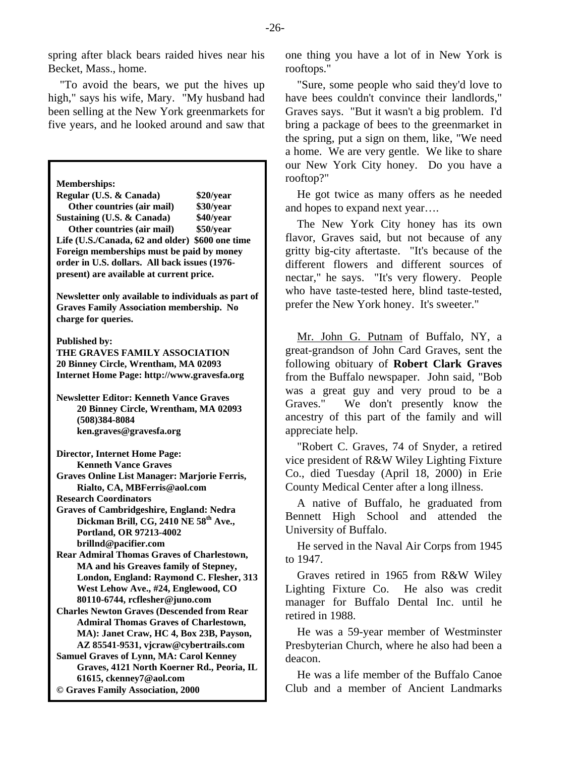spring after black bears raided hives near his Becket, Mass., home.

"To avoid the bears, we put the hives up high," says his wife, Mary. "My husband had been selling at the New York greenmarkets for five years, and he looked around and saw that

**Regular (U.S. & Canada) \$20/year Other countries (air mail)** \$30/year <br> **Sample 540/year \$40/year Sustaining (U.S. & Canada) Life (U.S./Canada, 62 and older) \$600 one time Foreign memberships must be paid by money order in U.S. dollars. All back issues (1976 present) are available at current price.** 

**Newsletter only available to individuals as part of Graves Family Association membership. No charge for queries.** 

**Published by:** 

**THE GRAVES FAMILY ASSOCIATION 20 Binney Circle, Wrentham, MA 02093 Internet Home Page: http://www.gravesfa.org** 

**Newsletter Editor: Kenneth Vance Graves 20 Binney Circle, Wrentham, MA 02093 (508)384-8084 ken.graves@gravesfa.org** 

**Director, Internet Home Page: Kenneth Vance Graves** 

**Graves Online List Manager: Marjorie Ferris, Rialto, CA, MBFerris@aol.com** 

**Graves of Cambridgeshire, England: Nedra**  Dickman Brill, CG, 2410 NE 58<sup>th</sup> Ave., **Portland, OR 97213-4002 brillnd@pacifier.com** 

**Rear Admiral Thomas Graves of Charlestown, MA and his Greaves family of Stepney, London, England: Raymond C. Flesher, 313 West Lehow Ave., #24, Englewood, CO 80110-6744, rcflesher@juno.com** 

retired in 1988. **Charles Newton Graves (Descended from Rear Admiral Thomas Graves of Charlestown, MA): Janet Craw, HC 4, Box 23B, Payson, AZ 85541-9531, vjcraw@cybertrails.com** 

**Samuel Graves of Lynn, MA: Carol Kenney Graves, 4121 North Koerner Rd., Peoria, IL 61615, ckenney7@aol.com** 

**© Graves Family Association, 2000**

one thing you have a lot of in New York is rooftops."

"Sure, some people who said they'd love to have bees couldn't convince their landlords," Graves says. "But it wasn't a big problem. I'd bring a package of bees to the greenmarket in the spring, put a sign on them, like, "We need a home. We are very gentle. We like to share our New York City honey. Do you have a **Memberships: matchlines matchlines matchlines matchlines matchlines matchlines matchlines matchlines matchlines matchlines matchlines matchlines matchlines matchlines matchlines matchlines** 

> He got twice as many offers as he needed and hopes to expand next year….

**Other countries (air mail)** \$50/year **The New York City honey has its own** flavor, Graves said, but not because of any gritty big-city aftertaste. "It's because of the different flowers and different sources of nectar," he says. "It's very flowery. People who have taste-tested here, blind taste-tested, prefer the New York honey. It's sweeter."

> Mr. John G. Putnam of Buffalo, NY, a great-grandson of John Card Graves, sent the following obituary of **Robert Clark Graves** from the Buffalo newspaper. John said, "Bob was a great guy and very proud to be a Graves." We don't presently know the ancestry of this part of the family and will appreciate help.

> "Robert C. Graves, 74 of Snyder, a retired vice president of R&W Wiley Lighting Fixture Co., died Tuesday (April 18, 2000) in Erie County Medical Center after a long illness.

**Research Coordinators A** native of Buffalo, he graduated from Bennett High School and attended the University of Buffalo.

> He served in the Naval Air Corps from 1945 to 1947.

> Graves retired in 1965 from R&W Wiley Lighting Fixture Co. He also was credit manager for Buffalo Dental Inc. until he

> He was a 59-year member of Westminster Presbyterian Church, where he also had been a deacon.

> He was a life member of the Buffalo Canoe Club and a member of Ancient Landmarks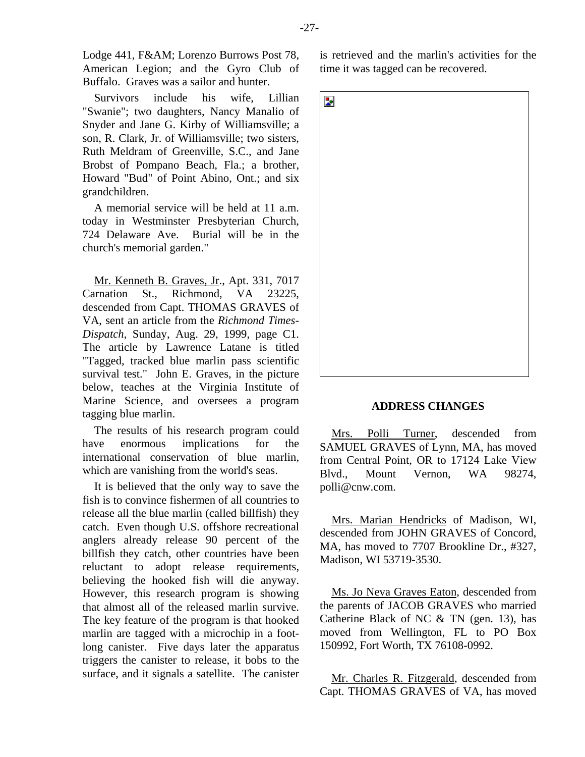Lodge 441, F&AM; Lorenzo Burrows Post 78, American Legion; and the Gyro Club of Buffalo. Graves was a sailor and hunter.

Survivors include his wife, Lillian "Swanie"; two daughters, Nancy Manalio of Snyder and Jane G. Kirby of Williamsville; a son, R. Clark, Jr. of Williamsville; two sisters, Ruth Meldram of Greenville, S.C., and Jane Brobst of Pompano Beach, Fla.; a brother, Howard "Bud" of Point Abino, Ont.; and six grandchildren.

A memorial service will be held at 11 a.m. today in Westminster Presbyterian Church, 724 Delaware Ave. Burial will be in the church's memorial garden."

Mr. Kenneth B. Graves, Jr., Apt. 331, 7017 Carnation St., Richmond, VA 23225, descended from Capt. THOMAS GRAVES of VA, sent an article from the *Richmond Times-Dispatch*, Sunday, Aug. 29, 1999, page C1. The article by Lawrence Latane is titled "Tagged, tracked blue marlin pass scientific survival test." John E. Graves, in the picture below, teaches at the Virginia Institute of Marine Science, and oversees a program tagging blue marlin.

The results of his research program could have enormous implications for the international conservation of blue marlin, which are vanishing from the world's seas.

It is believed that the only way to save the fish is to convince fishermen of all countries to release all the blue marlin (called billfish) they catch. Even though U.S. offshore recreational anglers already release 90 percent of the billfish they catch, other countries have been reluctant to adopt release requirements, believing the hooked fish will die anyway. However, this research program is showing that almost all of the released marlin survive. The key feature of the program is that hooked marlin are tagged with a microchip in a footlong canister. Five days later the apparatus triggers the canister to release, it bobs to the surface, and it signals a satellite. The canister is retrieved and the marlin's activities for the time it was tagged can be recovered.



#### **ADDRESS CHANGES**

Mrs. Polli Turner, descended from SAMUEL GRAVES of Lynn, MA, has moved from Central Point, OR to 17124 Lake View Blvd., Mount Vernon, WA 98274, polli@cnw.com.

Mrs. Marian Hendricks of Madison, WI, descended from JOHN GRAVES of Concord, MA, has moved to 7707 Brookline Dr., #327, Madison, WI 53719-3530.

Ms. Jo Neva Graves Eaton, descended from the parents of JACOB GRAVES who married Catherine Black of NC & TN (gen. 13), has moved from Wellington, FL to PO Box 150992, Fort Worth, TX 76108-0992.

Mr. Charles R. Fitzgerald, descended from Capt. THOMAS GRAVES of VA, has moved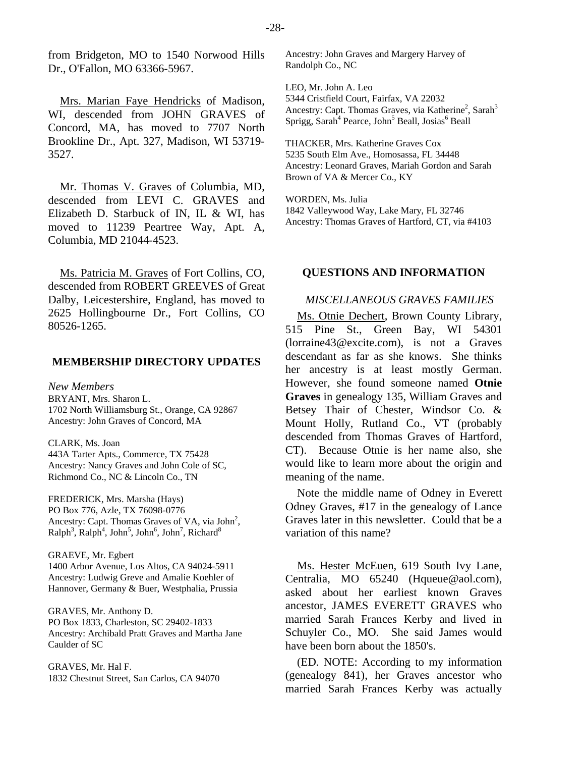Mrs. Marian Faye Hendricks of Madison, WI, descended from JOHN GRAVES of Concord, MA, has moved to 7707 North Brookline Dr., Apt. 327, Madison, WI 53719- 3527.

Mr. Thomas V. Graves of Columbia, MD, descended from LEVI C. GRAVES and Elizabeth D. Starbuck of IN, IL & WI, has moved to 11239 Peartree Way, Apt. A, Columbia, MD 21044-4523.

Ms. Patricia M. Graves of Fort Collins, CO, descended from ROBERT GREEVES of Great Dalby, Leicestershire, England, has moved to 2625 Hollingbourne Dr., Fort Collins, CO 80526-1265.

## **MEMBERSHIP DIRECTORY UPDATES**

*New Members*  BRYANT, Mrs. Sharon L. 1702 North Williamsburg St., Orange, CA 92867 Ancestry: John Graves of Concord, MA

CLARK, Ms. Joan 443A Tarter Apts., Commerce, TX 75428 Ancestry: Nancy Graves and John Cole of SC, Richmond Co., NC & Lincoln Co., TN

FREDERICK, Mrs. Marsha (Hays) PO Box 776, Azle, TX 76098-0776 Ancestry: Capt. Thomas Graves of VA, via John<sup>2</sup>,  $\text{Ralph}^3$ ,  $\text{Ralph}^4$ ,  $\text{John}^5$ ,  $\text{John}^6$ ,  $\text{John}^7$ ,  $\text{Richard}^8$ 

GRAEVE, Mr. Egbert 1400 Arbor Avenue, Los Altos, CA 94024-5911 Ancestry: Ludwig Greve and Amalie Koehler of Hannover, Germany & Buer, Westphalia, Prussia

GRAVES, Mr. Anthony D. PO Box 1833, Charleston, SC 29402-1833 Ancestry: Archibald Pratt Graves and Martha Jane Caulder of SC

GRAVES, Mr. Hal F. 1832 Chestnut Street, San Carlos, CA 94070 Ancestry: John Graves and Margery Harvey of Randolph Co., NC

LEO, Mr. John A. Leo 5344 Cristfield Court, Fairfax, VA 22032 Ancestry: Capt. Thomas Graves, via Katherine<sup>2</sup>, Sarah<sup>3</sup> Sprigg, Sarah<sup>4</sup> Pearce, John<sup>5</sup> Beall, Josias<sup>6</sup> Beall

THACKER, Mrs. Katherine Graves Cox 5235 South Elm Ave., Homosassa, FL 34448 Ancestry: Leonard Graves, Mariah Gordon and Sarah Brown of VA & Mercer Co., KY

WORDEN, Ms. Julia 1842 Valleywood Way, Lake Mary, FL 32746 Ancestry: Thomas Graves of Hartford, CT, via #4103

#### **QUESTIONS AND INFORMATION**

# *MISCELLANEOUS GRAVES FAMILIES*

Ms. Otnie Dechert, Brown County Library, 515 Pine St., Green Bay, WI 54301 (lorraine43@excite.com), is not a Graves descendant as far as she knows. She thinks her ancestry is at least mostly German. However, she found someone named **Otnie Graves** in genealogy 135, William Graves and Betsey Thair of Chester, Windsor Co. & Mount Holly, Rutland Co., VT (probably descended from Thomas Graves of Hartford, CT). Because Otnie is her name also, she would like to learn more about the origin and meaning of the name.

Note the middle name of Odney in Everett Odney Graves, #17 in the genealogy of Lance Graves later in this newsletter. Could that be a variation of this name?

Ms. Hester McEuen, 619 South Ivy Lane, Centralia, MO 65240 (Hqueue@aol.com), asked about her earliest known Graves ancestor, JAMES EVERETT GRAVES who married Sarah Frances Kerby and lived in Schuyler Co., MO. She said James would have been born about the 1850's.

(ED. NOTE: According to my information (genealogy 841), her Graves ancestor who married Sarah Frances Kerby was actually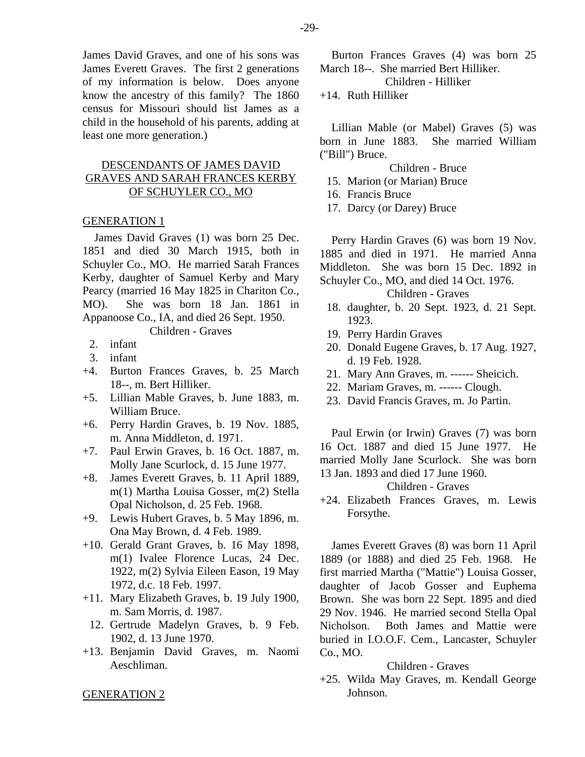James David Graves, and one of his sons was James Everett Graves. The first 2 generations of my information is below. Does anyone know the ancestry of this family? The 1860 census for Missouri should list James as a child in the household of his parents, adding at least one more generation.)

# DESCENDANTS OF JAMES DAVID GRAVES AND SARAH FRANCES KERBY OF SCHUYLER CO., MO

# GENERATION 1

James David Graves (1) was born 25 Dec. 1851 and died 30 March 1915, both in Schuyler Co., MO. He married Sarah Frances Kerby, daughter of Samuel Kerby and Mary Pearcy (married 16 May 1825 in Chariton Co., MO). She was born 18 Jan. 1861 in Appanoose Co., IA, and died 26 Sept. 1950.

Children - Graves

- 2. infant
- 3. infant
- +4. Burton Frances Graves, b. 25 March 18--, m. Bert Hilliker.
- +5. Lillian Mable Graves, b. June 1883, m. William Bruce.
- +6. Perry Hardin Graves, b. 19 Nov. 1885, m. Anna Middleton, d. 1971.
- +7. Paul Erwin Graves, b. 16 Oct. 1887, m. Molly Jane Scurlock, d. 15 June 1977.
- +8. James Everett Graves, b. 11 April 1889, m(1) Martha Louisa Gosser, m(2) Stella Opal Nicholson, d. 25 Feb. 1968.
- +9. Lewis Hubert Graves, b. 5 May 1896, m. Ona May Brown, d. 4 Feb. 1989.
- +10. Gerald Grant Graves, b. 16 May 1898, m(1) Ivalee Florence Lucas, 24 Dec. 1922, m(2) Sylvia Eileen Eason, 19 May 1972, d.c. 18 Feb. 1997.
- +11. Mary Elizabeth Graves, b. 19 July 1900, m. Sam Morris, d. 1987.
- 12. Gertrude Madelyn Graves, b. 9 Feb. 1902, d. 13 June 1970.
- +13. Benjamin David Graves, m. Naomi Aeschliman.

Burton Frances Graves (4) was born 25 March 18--. She married Bert Hilliker.

Children - Hilliker

+14. Ruth Hilliker

Lillian Mable (or Mabel) Graves (5) was born in June 1883. She married William ("Bill") Bruce.

Children - Bruce

- 15. Marion (or Marian) Bruce
- 16. Francis Bruce
- 17. Darcy (or Darey) Bruce

Perry Hardin Graves (6) was born 19 Nov. 1885 and died in 1971. He married Anna Middleton. She was born 15 Dec. 1892 in Schuyler Co., MO, and died 14 Oct. 1976.

## Children - Graves

- 18. daughter, b. 20 Sept. 1923, d. 21 Sept. 1923.
- 19. Perry Hardin Graves
- 20. Donald Eugene Graves, b. 17 Aug. 1927, d. 19 Feb. 1928.
- 21. Mary Ann Graves, m. ------ Sheicich.
- 22. Mariam Graves, m. ------ Clough.
- 23. David Francis Graves, m. Jo Partin.

Paul Erwin (or Irwin) Graves (7) was born 16 Oct. 1887 and died 15 June 1977. He married Molly Jane Scurlock. She was born 13 Jan. 1893 and died 17 June 1960.

#### Children - Graves

+24. Elizabeth Frances Graves, m. Lewis Forsythe.

James Everett Graves (8) was born 11 April 1889 (or 1888) and died 25 Feb. 1968. He first married Martha ("Mattie") Louisa Gosser, daughter of Jacob Gosser and Euphema Brown. She was born 22 Sept. 1895 and died 29 Nov. 1946. He married second Stella Opal Nicholson. Both James and Mattie were buried in I.O.O.F. Cem., Lancaster, Schuyler Co., MO.

## Children - Graves

+25. Wilda May Graves, m. Kendall George Johnson.

## GENERATION 2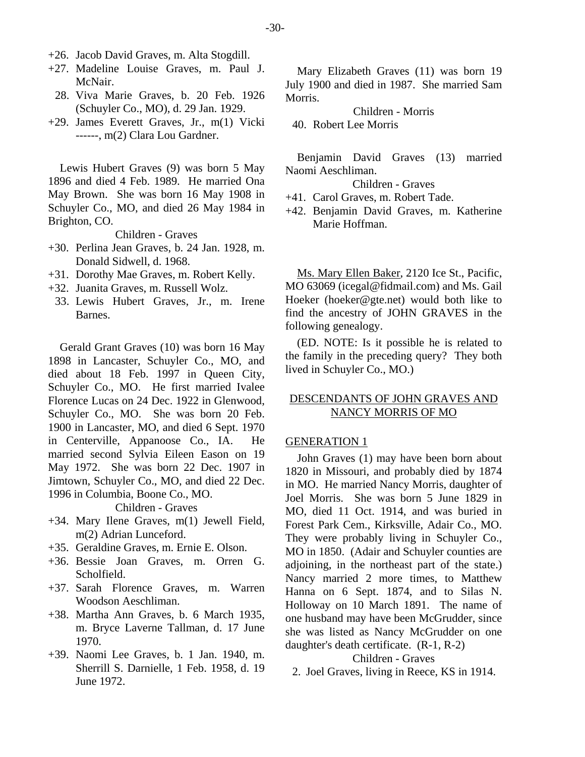- +26. Jacob David Graves, m. Alta Stogdill.
- +27. Madeline Louise Graves, m. Paul J. McNair.
- 28. Viva Marie Graves, b. 20 Feb. 1926 (Schuyler Co., MO), d. 29 Jan. 1929.
- +29. James Everett Graves, Jr., m(1) Vicki ------, m(2) Clara Lou Gardner.

Lewis Hubert Graves (9) was born 5 May 1896 and died 4 Feb. 1989. He married Ona May Brown. She was born 16 May 1908 in Schuyler Co., MO, and died 26 May 1984 in Brighton, CO.

Children - Graves

- +30. Perlina Jean Graves, b. 24 Jan. 1928, m. Donald Sidwell, d. 1968.
- +31. Dorothy Mae Graves, m. Robert Kelly.
- +32. Juanita Graves, m. Russell Wolz.
	- 33. Lewis Hubert Graves, Jr., m. Irene Barnes.

Gerald Grant Graves (10) was born 16 May 1898 in Lancaster, Schuyler Co., MO, and died about 18 Feb. 1997 in Queen City, Schuyler Co., MO. He first married Ivalee Florence Lucas on 24 Dec. 1922 in Glenwood, Schuyler Co., MO. She was born 20 Feb. 1900 in Lancaster, MO, and died 6 Sept. 1970 in Centerville, Appanoose Co., IA. He married second Sylvia Eileen Eason on 19 May 1972. She was born 22 Dec. 1907 in Jimtown, Schuyler Co., MO, and died 22 Dec. 1996 in Columbia, Boone Co., MO.

Children - Graves

- +34. Mary Ilene Graves, m(1) Jewell Field, m(2) Adrian Lunceford.
- +35. Geraldine Graves, m. Ernie E. Olson.
- +36. Bessie Joan Graves, m. Orren G. Scholfield.
- +37. Sarah Florence Graves, m. Warren Woodson Aeschliman.
- +38. Martha Ann Graves, b. 6 March 1935, m. Bryce Laverne Tallman, d. 17 June 1970.
- +39. Naomi Lee Graves, b. 1 Jan. 1940, m. Sherrill S. Darnielle, 1 Feb. 1958, d. 19 June 1972.

Mary Elizabeth Graves (11) was born 19 July 1900 and died in 1987. She married Sam Morris.

Children - Morris 40. Robert Lee Morris

Benjamin David Graves (13) married Naomi Aeschliman.

Children - Graves

+41. Carol Graves, m. Robert Tade.

+42. Benjamin David Graves, m. Katherine Marie Hoffman.

Ms. Mary Ellen Baker, 2120 Ice St., Pacific, MO 63069 (icegal@fidmail.com) and Ms. Gail Hoeker (hoeker@gte.net) would both like to find the ancestry of JOHN GRAVES in the following genealogy.

(ED. NOTE: Is it possible he is related to the family in the preceding query? They both lived in Schuyler Co., MO.)

# DESCENDANTS OF JOHN GRAVES AND NANCY MORRIS OF MO

#### GENERATION 1

John Graves (1) may have been born about 1820 in Missouri, and probably died by 1874 in MO. He married Nancy Morris, daughter of Joel Morris. She was born 5 June 1829 in MO, died 11 Oct. 1914, and was buried in Forest Park Cem., Kirksville, Adair Co., MO. They were probably living in Schuyler Co., MO in 1850. (Adair and Schuyler counties are adjoining, in the northeast part of the state.) Nancy married 2 more times, to Matthew Hanna on 6 Sept. 1874, and to Silas N. Holloway on 10 March 1891. The name of one husband may have been McGrudder, since she was listed as Nancy McGrudder on one daughter's death certificate. (R-1, R-2)

# Children - Graves

2. Joel Graves, living in Reece, KS in 1914.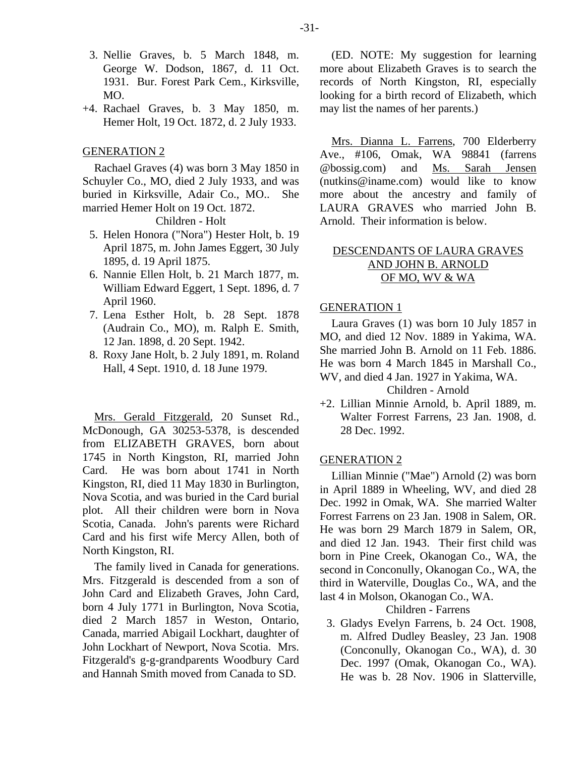- 3. Nellie Graves, b. 5 March 1848, m. George W. Dodson, 1867, d. 11 Oct. 1931. Bur. Forest Park Cem., Kirksville, MO.
- +4. Rachael Graves, b. 3 May 1850, m. Hemer Holt, 19 Oct. 1872, d. 2 July 1933.

#### GENERATION 2

Rachael Graves (4) was born 3 May 1850 in Schuyler Co., MO, died 2 July 1933, and was buried in Kirksville, Adair Co., MO.. She married Hemer Holt on 19 Oct. 1872.

# Children - Holt

- 5. Helen Honora ("Nora") Hester Holt, b. 19 April 1875, m. John James Eggert, 30 July 1895, d. 19 April 1875.
- 6. Nannie Ellen Holt, b. 21 March 1877, m. William Edward Eggert, 1 Sept. 1896, d. 7 April 1960.
- 7. Lena Esther Holt, b. 28 Sept. 1878 (Audrain Co., MO), m. Ralph E. Smith, 12 Jan. 1898, d. 20 Sept. 1942.
- 8. Roxy Jane Holt, b. 2 July 1891, m. Roland Hall, 4 Sept. 1910, d. 18 June 1979.

Mrs. Gerald Fitzgerald, 20 Sunset Rd., McDonough, GA 30253-5378, is descended from ELIZABETH GRAVES, born about 1745 in North Kingston, RI, married John Card. He was born about 1741 in North Kingston, RI, died 11 May 1830 in Burlington, Nova Scotia, and was buried in the Card burial plot. All their children were born in Nova Scotia, Canada. John's parents were Richard Card and his first wife Mercy Allen, both of North Kingston, RI.

The family lived in Canada for generations. Mrs. Fitzgerald is descended from a son of John Card and Elizabeth Graves, John Card, born 4 July 1771 in Burlington, Nova Scotia, died 2 March 1857 in Weston, Ontario, Canada, married Abigail Lockhart, daughter of John Lockhart of Newport, Nova Scotia. Mrs. Fitzgerald's g-g-grandparents Woodbury Card and Hannah Smith moved from Canada to SD.

(ED. NOTE: My suggestion for learning more about Elizabeth Graves is to search the records of North Kingston, RI, especially looking for a birth record of Elizabeth, which may list the names of her parents.)

Mrs. Dianna L. Farrens, 700 Elderberry Ave., #106, Omak, WA 98841 (farrens @bossig.com) and Ms. Sarah Jensen (nutkins@iname.com) would like to know more about the ancestry and family of LAURA GRAVES who married John B. Arnold. Their information is below.

# DESCENDANTS OF LAURA GRAVES AND JOHN B. ARNOLD OF MO, WV & WA

## GENERATION 1

Laura Graves (1) was born 10 July 1857 in MO, and died 12 Nov. 1889 in Yakima, WA. She married John B. Arnold on 11 Feb. 1886. He was born 4 March 1845 in Marshall Co., WV, and died 4 Jan. 1927 in Yakima, WA.

Children - Arnold

+2. Lillian Minnie Arnold, b. April 1889, m. Walter Forrest Farrens, 23 Jan. 1908, d. 28 Dec. 1992.

#### GENERATION 2

Lillian Minnie ("Mae") Arnold (2) was born in April 1889 in Wheeling, WV, and died 28 Dec. 1992 in Omak, WA. She married Walter Forrest Farrens on 23 Jan. 1908 in Salem, OR. He was born 29 March 1879 in Salem, OR, and died 12 Jan. 1943. Their first child was born in Pine Creek, Okanogan Co., WA, the second in Conconully, Okanogan Co., WA, the third in Waterville, Douglas Co., WA, and the last 4 in Molson, Okanogan Co., WA.

Children - Farrens

 3. Gladys Evelyn Farrens, b. 24 Oct. 1908, m. Alfred Dudley Beasley, 23 Jan. 1908 (Conconully, Okanogan Co., WA), d. 30 Dec. 1997 (Omak, Okanogan Co., WA). He was b. 28 Nov. 1906 in Slatterville,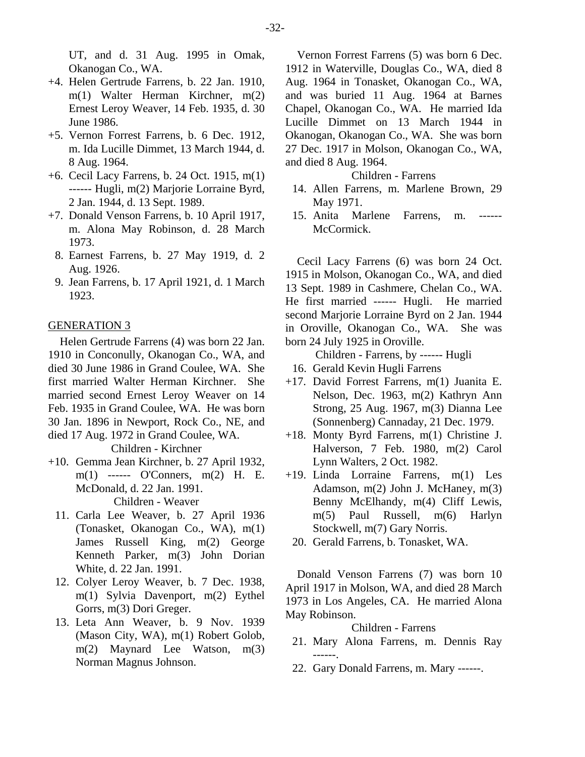UT, and d. 31 Aug. 1995 in Omak, Okanogan Co., WA.

- +4. Helen Gertrude Farrens, b. 22 Jan. 1910, m(1) Walter Herman Kirchner, m(2) Ernest Leroy Weaver, 14 Feb. 1935, d. 30 June 1986.
- +5. Vernon Forrest Farrens, b. 6 Dec. 1912, m. Ida Lucille Dimmet, 13 March 1944, d. 8 Aug. 1964.
- +6. Cecil Lacy Farrens, b. 24 Oct. 1915, m(1) ------ Hugli, m(2) Marjorie Lorraine Byrd, 2 Jan. 1944, d. 13 Sept. 1989.
- +7. Donald Venson Farrens, b. 10 April 1917, m. Alona May Robinson, d. 28 March 1973.
	- 8. Earnest Farrens, b. 27 May 1919, d. 2 Aug. 1926.
	- 9. Jean Farrens, b. 17 April 1921, d. 1 March 1923.

## GENERATION 3

Helen Gertrude Farrens (4) was born 22 Jan. 1910 in Conconully, Okanogan Co., WA, and died 30 June 1986 in Grand Coulee, WA. She first married Walter Herman Kirchner. She married second Ernest Leroy Weaver on 14 Feb. 1935 in Grand Coulee, WA. He was born 30 Jan. 1896 in Newport, Rock Co., NE, and died 17 Aug. 1972 in Grand Coulee, WA.

Children - Kirchner

- +10. Gemma Jean Kirchner, b. 27 April 1932, m(1) ------ O'Conners, m(2) H. E. McDonald, d. 22 Jan. 1991. Children - Weaver
	- 11. Carla Lee Weaver, b. 27 April 1936 (Tonasket, Okanogan Co., WA), m(1) James Russell King, m(2) George Kenneth Parker, m(3) John Dorian White, d. 22 Jan. 1991.
	- 12. Colyer Leroy Weaver, b. 7 Dec. 1938, m(1) Sylvia Davenport, m(2) Eythel Gorrs, m(3) Dori Greger.
	- 13. Leta Ann Weaver, b. 9 Nov. 1939 (Mason City, WA), m(1) Robert Golob, m(2) Maynard Lee Watson, m(3) Norman Magnus Johnson.

Vernon Forrest Farrens (5) was born 6 Dec. 1912 in Waterville, Douglas Co., WA, died 8 Aug. 1964 in Tonasket, Okanogan Co., WA, and was buried 11 Aug. 1964 at Barnes Chapel, Okanogan Co., WA. He married Ida Lucille Dimmet on 13 March 1944 in Okanogan, Okanogan Co., WA. She was born 27 Dec. 1917 in Molson, Okanogan Co., WA, and died 8 Aug. 1964.

# Children - Farrens

- 14. Allen Farrens, m. Marlene Brown, 29 May 1971.
- 15. Anita Marlene Farrens, m. McCormick.

Cecil Lacy Farrens (6) was born 24 Oct. 1915 in Molson, Okanogan Co., WA, and died 13 Sept. 1989 in Cashmere, Chelan Co., WA. He first married ------ Hugli. He married second Marjorie Lorraine Byrd on 2 Jan. 1944 in Oroville, Okanogan Co., WA. She was born 24 July 1925 in Oroville.

Children - Farrens, by ------ Hugli

- 16. Gerald Kevin Hugli Farrens
- +17. David Forrest Farrens, m(1) Juanita E. Nelson, Dec. 1963, m(2) Kathryn Ann Strong, 25 Aug. 1967, m(3) Dianna Lee (Sonnenberg) Cannaday, 21 Dec. 1979.
- +18. Monty Byrd Farrens, m(1) Christine J. Halverson, 7 Feb. 1980, m(2) Carol Lynn Walters, 2 Oct. 1982.
- +19. Linda Lorraine Farrens, m(1) Les Adamson, m(2) John J. McHaney, m(3) Benny McElhandy, m(4) Cliff Lewis, m(5) Paul Russell, m(6) Harlyn Stockwell, m(7) Gary Norris.
	- 20. Gerald Farrens, b. Tonasket, WA.

Donald Venson Farrens (7) was born 10 April 1917 in Molson, WA, and died 28 March 1973 in Los Angeles, CA. He married Alona May Robinson.

## Children - Farrens

- 21. Mary Alona Farrens, m. Dennis Ray ------.
- 22. Gary Donald Farrens, m. Mary ------.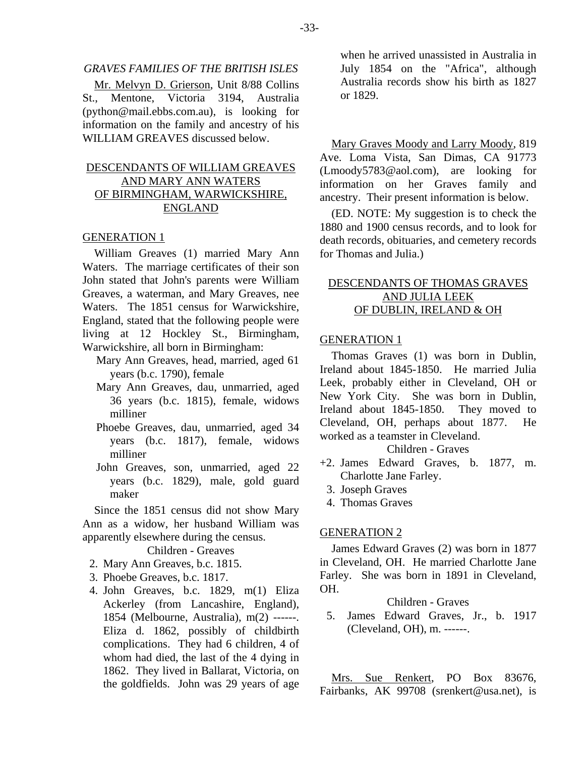#### *GRAVES FAMILIES OF THE BRITISH ISLES*

Mr. Melvyn D. Grierson, Unit 8/88 Collins St., Mentone, Victoria 3194, Australia (python@mail.ebbs.com.au), is looking for information on the family and ancestry of his WILLIAM GREAVES discussed below.

# DESCENDANTS OF WILLIAM GREAVES AND MARY ANN WATERS OF BIRMINGHAM, WARWICKSHIRE, ENGLAND

## GENERATION 1

William Greaves (1) married Mary Ann Waters. The marriage certificates of their son John stated that John's parents were William Greaves, a waterman, and Mary Greaves, nee Waters. The 1851 census for Warwickshire, England, stated that the following people were living at 12 Hockley St., Birmingham, Warwickshire, all born in Birmingham:

- Mary Ann Greaves, head, married, aged 61 years (b.c. 1790), female
- Mary Ann Greaves, dau, unmarried, aged 36 years (b.c. 1815), female, widows milliner
- Phoebe Greaves, dau, unmarried, aged 34 years (b.c. 1817), female, widows milliner
- John Greaves, son, unmarried, aged 22 years (b.c. 1829), male, gold guard maker

Since the 1851 census did not show Mary Ann as a widow, her husband William was apparently elsewhere during the census.

Children - Greaves

- 2. Mary Ann Greaves, b.c. 1815.
- 3. Phoebe Greaves, b.c. 1817.
- 4. John Greaves, b.c. 1829, m(1) Eliza Ackerley (from Lancashire, England), 1854 (Melbourne, Australia), m(2) ------. Eliza d. 1862, possibly of childbirth complications. They had 6 children, 4 of whom had died, the last of the 4 dying in 1862. They lived in Ballarat, Victoria, on the goldfields. John was 29 years of age

when he arrived unassisted in Australia in July 1854 on the "Africa", although Australia records show his birth as 1827 or 1829.

Mary Graves Moody and Larry Moody, 819 Ave. Loma Vista, San Dimas, CA 91773 (Lmoody5783@aol.com), are looking for information on her Graves family and ancestry. Their present information is below.

(ED. NOTE: My suggestion is to check the 1880 and 1900 census records, and to look for death records, obituaries, and cemetery records for Thomas and Julia.)

# DESCENDANTS OF THOMAS GRAVES AND JULIA LEEK OF DUBLIN, IRELAND & OH

#### GENERATION 1

Thomas Graves (1) was born in Dublin, Ireland about 1845-1850. He married Julia Leek, probably either in Cleveland, OH or New York City. She was born in Dublin, Ireland about 1845-1850. They moved to Cleveland, OH, perhaps about 1877. He worked as a teamster in Cleveland.

# Children - Graves

- +2. James Edward Graves, b. 1877, m. Charlotte Jane Farley.
	- 3. Joseph Graves
	- 4. Thomas Graves

#### GENERATION 2

James Edward Graves (2) was born in 1877 in Cleveland, OH. He married Charlotte Jane Farley. She was born in 1891 in Cleveland, OH.

# Children - Graves

 5. James Edward Graves, Jr., b. 1917 (Cleveland, OH), m. ------.

Mrs. Sue Renkert, PO Box 83676, Fairbanks, AK 99708 (srenkert@usa.net), is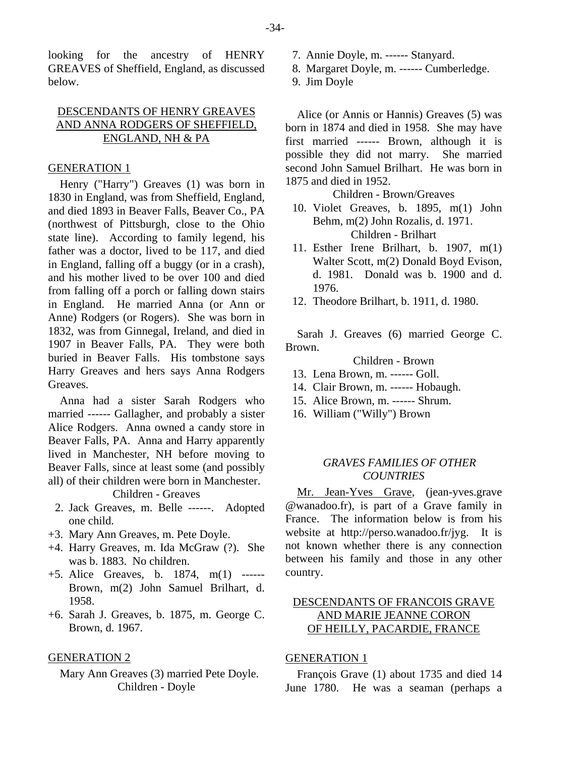looking for the ancestry of HENRY GREAVES of Sheffield, England, as discussed below.

# DESCENDANTS OF HENRY GREAVES AND ANNA RODGERS OF SHEFFIELD, ENGLAND, NH & PA

## GENERATION 1

Henry ("Harry") Greaves (1) was born in 1830 in England, was from Sheffield, England, and died 1893 in Beaver Falls, Beaver Co., PA (northwest of Pittsburgh, close to the Ohio state line). According to family legend, his father was a doctor, lived to be 117, and died in England, falling off a buggy (or in a crash), and his mother lived to be over 100 and died from falling off a porch or falling down stairs in England. He married Anna (or Ann or Anne) Rodgers (or Rogers). She was born in 1832, was from Ginnegal, Ireland, and died in 1907 in Beaver Falls, PA. They were both buried in Beaver Falls. His tombstone says Harry Greaves and hers says Anna Rodgers Greaves.

Anna had a sister Sarah Rodgers who married ------ Gallagher, and probably a sister Alice Rodgers. Anna owned a candy store in Beaver Falls, PA. Anna and Harry apparently lived in Manchester, NH before moving to Beaver Falls, since at least some (and possibly all) of their children were born in Manchester.

Children - Greaves

- 2. Jack Greaves, m. Belle ------. Adopted one child.
- +3. Mary Ann Greaves, m. Pete Doyle.
- +4. Harry Greaves, m. Ida McGraw (?). She was b. 1883. No children.
- +5. Alice Greaves, b. 1874, m(1) ------ Brown, m(2) John Samuel Brilhart, d. 1958.
- +6. Sarah J. Greaves, b. 1875, m. George C. Brown, d. 1967.

#### GENERATION 2

Mary Ann Greaves (3) married Pete Doyle. Children - Doyle

- 7. Annie Doyle, m. ------ Stanyard.
- 8. Margaret Doyle, m. ------ Cumberledge.
- 9. Jim Doyle

Alice (or Annis or Hannis) Greaves (5) was born in 1874 and died in 1958. She may have first married ------ Brown, although it is possible they did not marry. She married second John Samuel Brilhart. He was born in 1875 and died in 1952.

Children - Brown/Greaves

- 10. Violet Greaves, b. 1895, m(1) John Behm, m(2) John Rozalis, d. 1971. Children - Brilhart
- 11. Esther Irene Brilhart, b. 1907, m(1) Walter Scott, m(2) Donald Boyd Evison, d. 1981. Donald was b. 1900 and d. 1976.
- 12. Theodore Brilhart, b. 1911, d. 1980.

Sarah J. Greaves (6) married George C. Brown.

#### Children - Brown

- 13. Lena Brown, m. ------ Goll.
- 14. Clair Brown, m. ------ Hobaugh.
- 15. Alice Brown, m. ------ Shrum.
- 16. William ("Willy") Brown

# *GRAVES FAMILIES OF OTHER COUNTRIES*

Mr. Jean-Yves Grave, (jean-yves.grave @wanadoo.fr), is part of a Grave family in France. The information below is from his website at http://perso.wanadoo.fr/jyg. It is not known whether there is any connection between his family and those in any other country.

# DESCENDANTS OF FRANCOIS GRAVE AND MARIE JEANNE CORON OF HEILLY, PACARDIE, FRANCE

# GENERATION 1

François Grave (1) about 1735 and died 14 June 1780. He was a seaman (perhaps a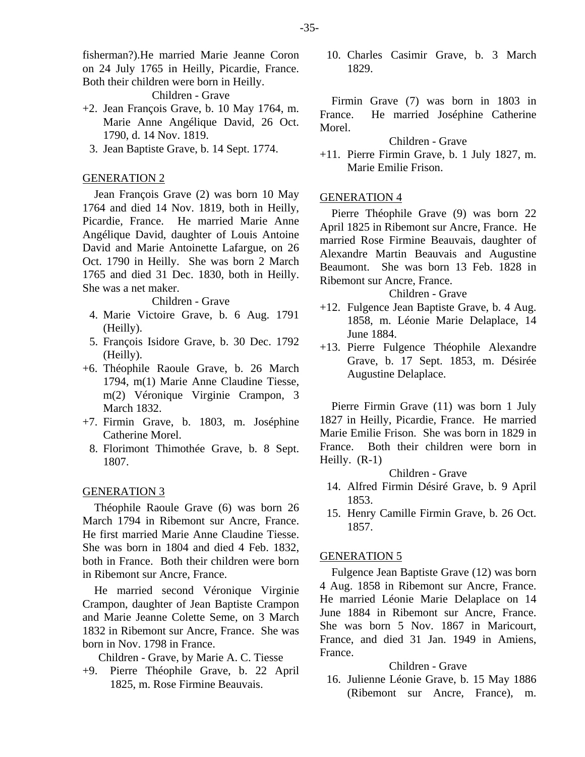fisherman?).He married Marie Jeanne Coron on 24 July 1765 in Heilly, Picardie, France. Both their children were born in Heilly.

Children - Grave

- +2. Jean François Grave, b. 10 May 1764, m. Marie Anne Angélique David, 26 Oct. 1790, d. 14 Nov. 1819.
	- 3. Jean Baptiste Grave, b. 14 Sept. 1774.

# GENERATION 2

Jean François Grave (2) was born 10 May 1764 and died 14 Nov. 1819, both in Heilly, Picardie, France. He married Marie Anne Angélique David, daughter of Louis Antoine David and Marie Antoinette Lafargue, on 26 Oct. 1790 in Heilly. She was born 2 March 1765 and died 31 Dec. 1830, both in Heilly. She was a net maker.

#### Children - Grave

- 4. Marie Victoire Grave, b. 6 Aug. 1791 (Heilly).
- 5. François Isidore Grave, b. 30 Dec. 1792 (Heilly).
- +6. Théophile Raoule Grave, b. 26 March 1794, m(1) Marie Anne Claudine Tiesse, m(2) Véronique Virginie Crampon, 3 March 1832.
- +7. Firmin Grave, b. 1803, m. Joséphine Catherine Morel.
	- 8. Florimont Thimothée Grave, b. 8 Sept. 1807.

#### GENERATION 3

Théophile Raoule Grave (6) was born 26 March 1794 in Ribemont sur Ancre, France. He first married Marie Anne Claudine Tiesse. She was born in 1804 and died 4 Feb. 1832, both in France. Both their children were born in Ribemont sur Ancre, France.

He married second Véronique Virginie Crampon, daughter of Jean Baptiste Crampon and Marie Jeanne Colette Seme, on 3 March 1832 in Ribemont sur Ancre, France. She was born in Nov. 1798 in France.

Children - Grave, by Marie A. C. Tiesse

+9. Pierre Théophile Grave, b. 22 April 1825, m. Rose Firmine Beauvais.

 10. Charles Casimir Grave, b. 3 March 1829.

Firmin Grave (7) was born in 1803 in France. He married Joséphine Catherine Morel.

# Children - Grave

+11. Pierre Firmin Grave, b. 1 July 1827, m. Marie Emilie Frison.

## GENERATION 4

Pierre Théophile Grave (9) was born 22 April 1825 in Ribemont sur Ancre, France. He married Rose Firmine Beauvais, daughter of Alexandre Martin Beauvais and Augustine Beaumont. She was born 13 Feb. 1828 in Ribemont sur Ancre, France.

# Children - Grave

- +12. Fulgence Jean Baptiste Grave, b. 4 Aug. 1858, m. Léonie Marie Delaplace, 14 June 1884.
- +13. Pierre Fulgence Théophile Alexandre Grave, b. 17 Sept. 1853, m. Désirée Augustine Delaplace.

Pierre Firmin Grave (11) was born 1 July 1827 in Heilly, Picardie, France. He married Marie Emilie Frison. She was born in 1829 in France. Both their children were born in Heilly. (R-1)

Children - Grave

- 14. Alfred Firmin Désiré Grave, b. 9 April 1853.
- 15. Henry Camille Firmin Grave, b. 26 Oct. 1857.

## GENERATION 5

Fulgence Jean Baptiste Grave (12) was born 4 Aug. 1858 in Ribemont sur Ancre, France. He married Léonie Marie Delaplace on 14 June 1884 in Ribemont sur Ancre, France. She was born 5 Nov. 1867 in Maricourt, France, and died 31 Jan. 1949 in Amiens, France.

# Children - Grave

 16. Julienne Léonie Grave, b. 15 May 1886 (Ribemont sur Ancre, France), m.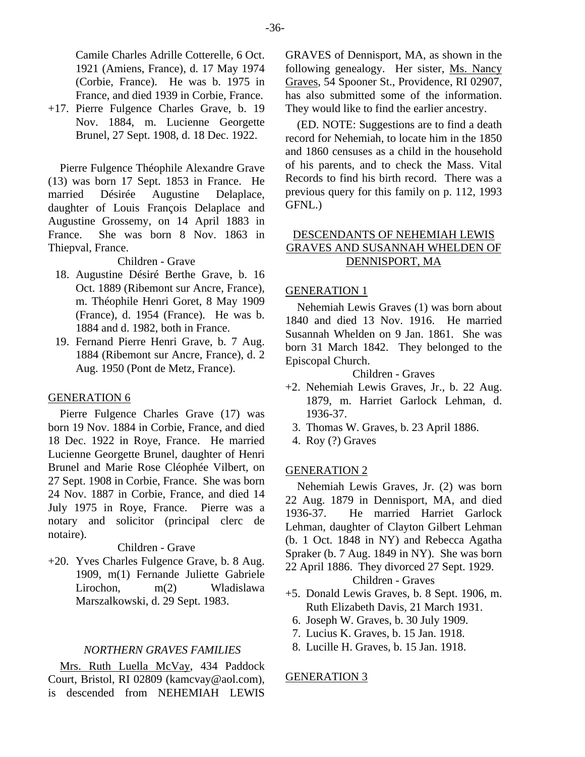Camile Charles Adrille Cotterelle, 6 Oct. 1921 (Amiens, France), d. 17 May 1974 (Corbie, France). He was b. 1975 in France, and died 1939 in Corbie, France.

+17. Pierre Fulgence Charles Grave, b. 19 Nov. 1884, m. Lucienne Georgette Brunel, 27 Sept. 1908, d. 18 Dec. 1922.

Pierre Fulgence Théophile Alexandre Grave (13) was born 17 Sept. 1853 in France. He married Désirée Augustine Delaplace, daughter of Louis François Delaplace and Augustine Grossemy, on 14 April 1883 in France. She was born 8 Nov. 1863 in Thiepval, France.

Children - Grave

- 18. Augustine Désiré Berthe Grave, b. 16 Oct. 1889 (Ribemont sur Ancre, France), m. Théophile Henri Goret, 8 May 1909 (France), d. 1954 (France). He was b. 1884 and d. 1982, both in France.
- 19. Fernand Pierre Henri Grave, b. 7 Aug. 1884 (Ribemont sur Ancre, France), d. 2 Aug. 1950 (Pont de Metz, France).

#### GENERATION 6

Pierre Fulgence Charles Grave (17) was born 19 Nov. 1884 in Corbie, France, and died 18 Dec. 1922 in Roye, France. He married Lucienne Georgette Brunel, daughter of Henri Brunel and Marie Rose Cléophée Vilbert, on 27 Sept. 1908 in Corbie, France. She was born 24 Nov. 1887 in Corbie, France, and died 14 July 1975 in Roye, France. Pierre was a notary and solicitor (principal clerc de notaire).

#### Children - Grave

+20. Yves Charles Fulgence Grave, b. 8 Aug. 1909, m(1) Fernande Juliette Gabriele Lirochon, m(2) Wladislawa Marszalkowski, d. 29 Sept. 1983.

#### *NORTHERN GRAVES FAMILIES*

Mrs. Ruth Luella McVay, 434 Paddock Court, Bristol, RI 02809 (kamcvay@aol.com), is descended from NEHEMIAH LEWIS

GRAVES of Dennisport, MA, as shown in the following genealogy. Her sister, Ms. Nancy Graves, 54 Spooner St., Providence, RI 02907, has also submitted some of the information. They would like to find the earlier ancestry.

(ED. NOTE: Suggestions are to find a death record for Nehemiah, to locate him in the 1850 and 1860 censuses as a child in the household of his parents, and to check the Mass. Vital Records to find his birth record. There was a previous query for this family on p. 112, 1993 GFNL.)

# DESCENDANTS OF NEHEMIAH LEWIS GRAVES AND SUSANNAH WHELDEN OF DENNISPORT, MA

## GENERATION 1

Nehemiah Lewis Graves (1) was born about 1840 and died 13 Nov. 1916. He married Susannah Whelden on 9 Jan. 1861. She was born 31 March 1842. They belonged to the Episcopal Church.

Children - Graves

- +2. Nehemiah Lewis Graves, Jr., b. 22 Aug. 1879, m. Harriet Garlock Lehman, d. 1936-37.
	- 3. Thomas W. Graves, b. 23 April 1886.
	- 4. Roy (?) Graves

#### GENERATION 2

Nehemiah Lewis Graves, Jr. (2) was born 22 Aug. 1879 in Dennisport, MA, and died 1936-37. He married Harriet Garlock Lehman, daughter of Clayton Gilbert Lehman (b. 1 Oct. 1848 in NY) and Rebecca Agatha Spraker (b. 7 Aug. 1849 in NY). She was born 22 April 1886. They divorced 27 Sept. 1929.

Children - Graves

- +5. Donald Lewis Graves, b. 8 Sept. 1906, m. Ruth Elizabeth Davis, 21 March 1931.
	- 6. Joseph W. Graves, b. 30 July 1909.
	- 7. Lucius K. Graves, b. 15 Jan. 1918.
	- 8. Lucille H. Graves, b. 15 Jan. 1918.

#### GENERATION 3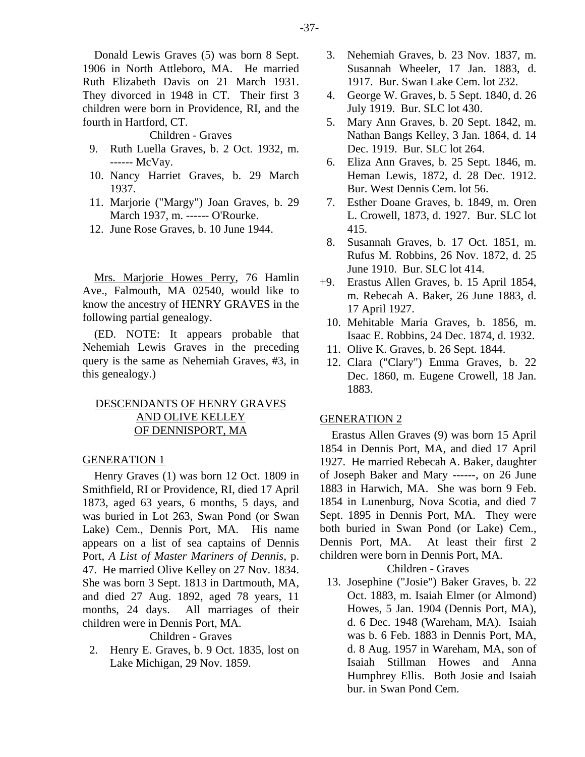#### Children - Graves

- 9. Ruth Luella Graves, b. 2 Oct. 1932, m. ------ McVay.
- 10. Nancy Harriet Graves, b. 29 March 1937.
- 11. Marjorie ("Margy") Joan Graves, b. 29 March 1937, m. ------ O'Rourke.
- 12. June Rose Graves, b. 10 June 1944.

Mrs. Marjorie Howes Perry, 76 Hamlin Ave., Falmouth, MA 02540, would like to know the ancestry of HENRY GRAVES in the following partial genealogy.

(ED. NOTE: It appears probable that Nehemiah Lewis Graves in the preceding query is the same as Nehemiah Graves, #3, in this genealogy.)

# DESCENDANTS OF HENRY GRAVES AND OLIVE KELLEY OF DENNISPORT, MA

# GENERATION 1

Henry Graves (1) was born 12 Oct. 1809 in Smithfield, RI or Providence, RI, died 17 April 1873, aged 63 years, 6 months, 5 days, and was buried in Lot 263, Swan Pond (or Swan Lake) Cem., Dennis Port, MA. His name appears on a list of sea captains of Dennis Port, *A List of Master Mariners of Dennis*, p. 47. He married Olive Kelley on 27 Nov. 1834. She was born 3 Sept. 1813 in Dartmouth, MA, and died 27 Aug. 1892, aged 78 years, 11 months, 24 days. All marriages of their children were in Dennis Port, MA.

## Children - Graves

 2. Henry E. Graves, b. 9 Oct. 1835, lost on Lake Michigan, 29 Nov. 1859.

- 3. Nehemiah Graves, b. 23 Nov. 1837, m. Susannah Wheeler, 17 Jan. 1883, d. 1917. Bur. Swan Lake Cem. lot 232.
- 4. George W. Graves, b. 5 Sept. 1840, d. 26 July 1919. Bur. SLC lot 430.
- 5. Mary Ann Graves, b. 20 Sept. 1842, m. Nathan Bangs Kelley, 3 Jan. 1864, d. 14 Dec. 1919. Bur. SLC lot 264.
- 6. Eliza Ann Graves, b. 25 Sept. 1846, m. Heman Lewis, 1872, d. 28 Dec. 1912. Bur. West Dennis Cem. lot 56.
- 7. Esther Doane Graves, b. 1849, m. Oren L. Crowell, 1873, d. 1927. Bur. SLC lot 415.
- 8. Susannah Graves, b. 17 Oct. 1851, m. Rufus M. Robbins, 26 Nov. 1872, d. 25 June 1910. Bur. SLC lot 414.
- +9. Erastus Allen Graves, b. 15 April 1854, m. Rebecah A. Baker, 26 June 1883, d. 17 April 1927.
	- 10. Mehitable Maria Graves, b. 1856, m. Isaac E. Robbins, 24 Dec. 1874, d. 1932.
	- 11. Olive K. Graves, b. 26 Sept. 1844.
	- 12. Clara ("Clary") Emma Graves, b. 22 Dec. 1860, m. Eugene Crowell, 18 Jan. 1883.

#### GENERATION 2

Erastus Allen Graves (9) was born 15 April 1854 in Dennis Port, MA, and died 17 April 1927. He married Rebecah A. Baker, daughter of Joseph Baker and Mary ------, on 26 June 1883 in Harwich, MA. She was born 9 Feb. 1854 in Lunenburg, Nova Scotia, and died 7 Sept. 1895 in Dennis Port, MA. They were both buried in Swan Pond (or Lake) Cem., Dennis Port, MA. At least their first 2 children were born in Dennis Port, MA.

Children - Graves

 13. Josephine ("Josie") Baker Graves, b. 22 Oct. 1883, m. Isaiah Elmer (or Almond) Howes, 5 Jan. 1904 (Dennis Port, MA), d. 6 Dec. 1948 (Wareham, MA). Isaiah was b. 6 Feb. 1883 in Dennis Port, MA, d. 8 Aug. 1957 in Wareham, MA, son of Isaiah Stillman Howes and Anna Humphrey Ellis. Both Josie and Isaiah bur. in Swan Pond Cem.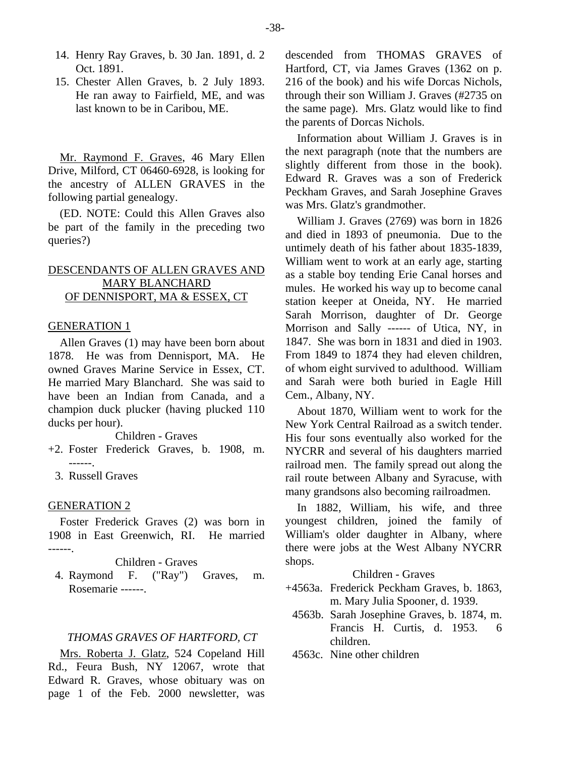- 14. Henry Ray Graves, b. 30 Jan. 1891, d. 2 Oct. 1891.
- 15. Chester Allen Graves, b. 2 July 1893. He ran away to Fairfield, ME, and was last known to be in Caribou, ME.

Mr. Raymond F. Graves, 46 Mary Ellen Drive, Milford, CT 06460-6928, is looking for the ancestry of ALLEN GRAVES in the following partial genealogy.

(ED. NOTE: Could this Allen Graves also be part of the family in the preceding two queries?)

# DESCENDANTS OF ALLEN GRAVES AND MARY BLANCHARD OF DENNISPORT, MA & ESSEX, CT

# GENERATION 1

Allen Graves (1) may have been born about 1878. He was from Dennisport, MA. He owned Graves Marine Service in Essex, CT. He married Mary Blanchard. She was said to have been an Indian from Canada, and a champion duck plucker (having plucked 110 ducks per hour).

Children - Graves

- +2. Foster Frederick Graves, b. 1908, m. ------.
	- 3. Russell Graves

# GENERATION 2

Foster Frederick Graves (2) was born in 1908 in East Greenwich, RI. He married ------.

Children - Graves

 4. Raymond F. ("Ray") Graves, m. Rosemarie ------.

#### *THOMAS GRAVES OF HARTFORD, CT*

Mrs. Roberta J. Glatz, 524 Copeland Hill Rd., Feura Bush, NY 12067, wrote that Edward R. Graves, whose obituary was on page 1 of the Feb. 2000 newsletter, was

descended from THOMAS GRAVES of Hartford, CT, via James Graves (1362 on p. 216 of the book) and his wife Dorcas Nichols, through their son William J. Graves (#2735 on the same page). Mrs. Glatz would like to find the parents of Dorcas Nichols.

Information about William J. Graves is in the next paragraph (note that the numbers are slightly different from those in the book). Edward R. Graves was a son of Frederick Peckham Graves, and Sarah Josephine Graves was Mrs. Glatz's grandmother.

William J. Graves (2769) was born in 1826 and died in 1893 of pneumonia. Due to the untimely death of his father about 1835-1839, William went to work at an early age, starting as a stable boy tending Erie Canal horses and mules. He worked his way up to become canal station keeper at Oneida, NY. He married Sarah Morrison, daughter of Dr. George Morrison and Sally ------ of Utica, NY, in 1847. She was born in 1831 and died in 1903. From 1849 to 1874 they had eleven children, of whom eight survived to adulthood. William and Sarah were both buried in Eagle Hill Cem., Albany, NY.

About 1870, William went to work for the New York Central Railroad as a switch tender. His four sons eventually also worked for the NYCRR and several of his daughters married railroad men. The family spread out along the rail route between Albany and Syracuse, with many grandsons also becoming railroadmen.

In 1882, William, his wife, and three youngest children, joined the family of William's older daughter in Albany, where there were jobs at the West Albany NYCRR shops.

# Children - Graves

- +4563a. Frederick Peckham Graves, b. 1863, m. Mary Julia Spooner, d. 1939.
	- 4563b. Sarah Josephine Graves, b. 1874, m. Francis H. Curtis, d. 1953. 6 children.
	- 4563c. Nine other children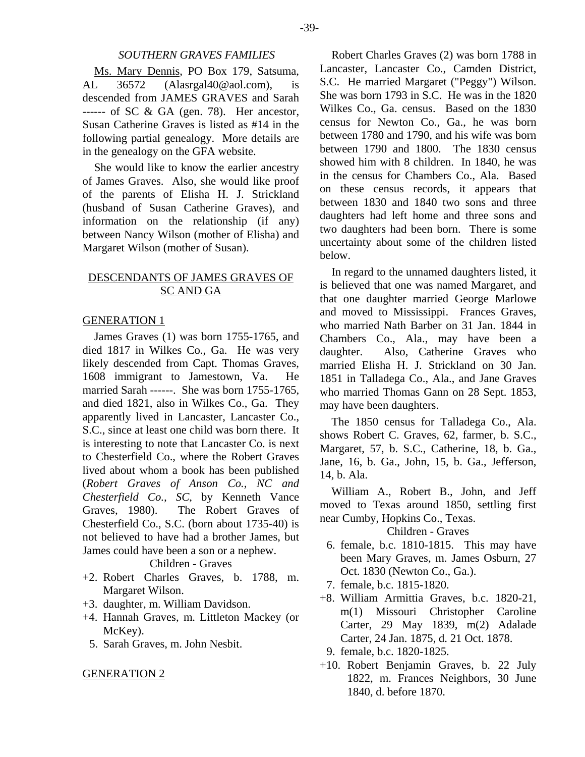Ms. Mary Dennis, PO Box 179, Satsuma, AL 36572 (Alasrgal40@aol.com), is descended from JAMES GRAVES and Sarah ------ of SC & GA (gen. 78). Her ancestor, Susan Catherine Graves is listed as #14 in the following partial genealogy. More details are in the genealogy on the GFA website.

She would like to know the earlier ancestry of James Graves. Also, she would like proof of the parents of Elisha H. J. Strickland (husband of Susan Catherine Graves), and information on the relationship (if any) between Nancy Wilson (mother of Elisha) and Margaret Wilson (mother of Susan).

# DESCENDANTS OF JAMES GRAVES OF SC AND GA

#### GENERATION 1

James Graves (1) was born 1755-1765, and died 1817 in Wilkes Co., Ga. He was very likely descended from Capt. Thomas Graves, 1608 immigrant to Jamestown, Va. He married Sarah ------. She was born 1755-1765, and died 1821, also in Wilkes Co., Ga. They apparently lived in Lancaster, Lancaster Co., S.C., since at least one child was born there. It is interesting to note that Lancaster Co. is next to Chesterfield Co., where the Robert Graves lived about whom a book has been published (*Robert Graves of Anson Co., NC and Chesterfield Co., SC*, by Kenneth Vance Graves, 1980). The Robert Graves of Chesterfield Co., S.C. (born about 1735-40) is not believed to have had a brother James, but James could have been a son or a nephew.

#### Children - Graves

- +2. Robert Charles Graves, b. 1788, m. Margaret Wilson.
- +3. daughter, m. William Davidson.
- +4. Hannah Graves, m. Littleton Mackey (or McKey).
	- 5. Sarah Graves, m. John Nesbit.

#### GENERATION 2

Robert Charles Graves (2) was born 1788 in Lancaster, Lancaster Co., Camden District, S.C. He married Margaret ("Peggy") Wilson. She was born 1793 in S.C. He was in the 1820 Wilkes Co., Ga. census. Based on the 1830 census for Newton Co., Ga., he was born between 1780 and 1790, and his wife was born between 1790 and 1800. The 1830 census showed him with 8 children. In 1840, he was in the census for Chambers Co., Ala. Based on these census records, it appears that between 1830 and 1840 two sons and three daughters had left home and three sons and two daughters had been born. There is some uncertainty about some of the children listed below.

In regard to the unnamed daughters listed, it is believed that one was named Margaret, and that one daughter married George Marlowe and moved to Mississippi. Frances Graves, who married Nath Barber on 31 Jan. 1844 in Chambers Co., Ala., may have been a daughter. Also, Catherine Graves who married Elisha H. J. Strickland on 30 Jan. 1851 in Talladega Co., Ala., and Jane Graves who married Thomas Gann on 28 Sept. 1853, may have been daughters.

The 1850 census for Talladega Co., Ala. shows Robert C. Graves, 62, farmer, b. S.C., Margaret, 57, b. S.C., Catherine, 18, b. Ga., Jane, 16, b. Ga., John, 15, b. Ga., Jefferson, 14, b. Ala.

William A., Robert B., John, and Jeff moved to Texas around 1850, settling first near Cumby, Hopkins Co., Texas.

Children - Graves

- 6. female, b.c. 1810-1815. This may have been Mary Graves, m. James Osburn, 27 Oct. 1830 (Newton Co., Ga.).
- 7. female, b.c. 1815-1820.
- +8. William Armittia Graves, b.c. 1820-21, m(1) Missouri Christopher Caroline Carter, 29 May 1839, m(2) Adalade Carter, 24 Jan. 1875, d. 21 Oct. 1878.
	- 9. female, b.c. 1820-1825.
- +10. Robert Benjamin Graves, b. 22 July 1822, m. Frances Neighbors, 30 June 1840, d. before 1870.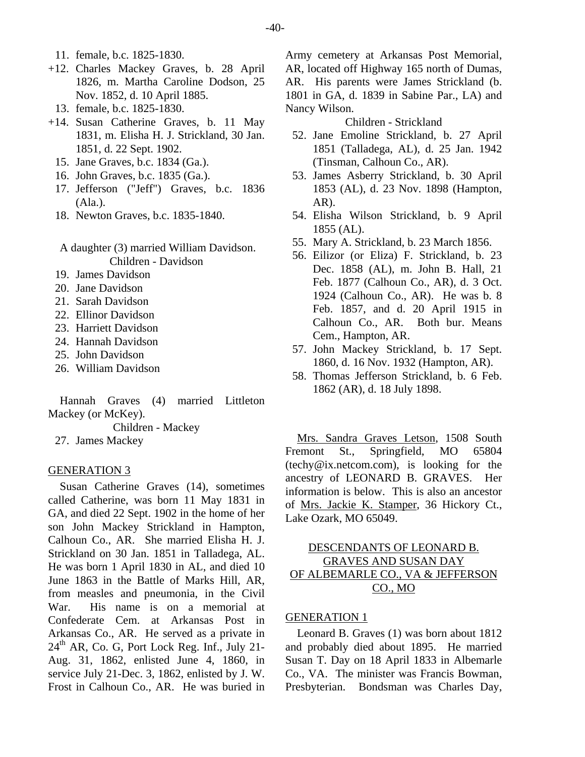- +12. Charles Mackey Graves, b. 28 April 1826, m. Martha Caroline Dodson, 25 Nov. 1852, d. 10 April 1885.
- 13. female, b.c. 1825-1830.
- +14. Susan Catherine Graves, b. 11 May 1831, m. Elisha H. J. Strickland, 30 Jan. 1851, d. 22 Sept. 1902.
	- 15. Jane Graves, b.c. 1834 (Ga.).
	- 16. John Graves, b.c. 1835 (Ga.).
	- 17. Jefferson ("Jeff") Graves, b.c. 1836 (Ala.).
	- 18. Newton Graves, b.c. 1835-1840.
	- A daughter (3) married William Davidson. Children - Davidson
	- 19. James Davidson
	- 20. Jane Davidson
	- 21. Sarah Davidson
	- 22. Ellinor Davidson
	- 23. Harriett Davidson
	- 24. Hannah Davidson
	- 25. John Davidson
	- 26. William Davidson

Hannah Graves (4) married Littleton Mackey (or McKey).

Children - Mackey

27. James Mackey

## GENERATION 3

Susan Catherine Graves (14), sometimes called Catherine, was born 11 May 1831 in GA, and died 22 Sept. 1902 in the home of her son John Mackey Strickland in Hampton, Calhoun Co., AR. She married Elisha H. J. Strickland on 30 Jan. 1851 in Talladega, AL. He was born 1 April 1830 in AL, and died 10 June 1863 in the Battle of Marks Hill, AR, from measles and pneumonia, in the Civil War. His name is on a memorial at Confederate Cem. at Arkansas Post in Arkansas Co., AR. He served as a private in  $24<sup>th</sup>$  AR, Co. G, Port Lock Reg. Inf., July 21-Aug. 31, 1862, enlisted June 4, 1860, in service July 21-Dec. 3, 1862, enlisted by J. W. Frost in Calhoun Co., AR. He was buried in

Army cemetery at Arkansas Post Memorial, AR, located off Highway 165 north of Dumas, AR. His parents were James Strickland (b. 1801 in GA, d. 1839 in Sabine Par., LA) and Nancy Wilson.

Children - Strickland

- 52. Jane Emoline Strickland, b. 27 April 1851 (Talladega, AL), d. 25 Jan. 1942 (Tinsman, Calhoun Co., AR).
- 53. James Asberry Strickland, b. 30 April 1853 (AL), d. 23 Nov. 1898 (Hampton, AR).
- 54. Elisha Wilson Strickland, b. 9 April 1855 (AL).
- 55. Mary A. Strickland, b. 23 March 1856.
- 56. Eilizor (or Eliza) F. Strickland, b. 23 Dec. 1858 (AL), m. John B. Hall, 21 Feb. 1877 (Calhoun Co., AR), d. 3 Oct. 1924 (Calhoun Co., AR). He was b. 8 Feb. 1857, and d. 20 April 1915 in Calhoun Co., AR. Both bur. Means Cem., Hampton, AR.
- 57. John Mackey Strickland, b. 17 Sept. 1860, d. 16 Nov. 1932 (Hampton, AR).
- 58. Thomas Jefferson Strickland, b. 6 Feb. 1862 (AR), d. 18 July 1898.

Mrs. Sandra Graves Letson, 1508 South Fremont St., Springfield, MO 65804 (techy@ix.netcom.com), is looking for the ancestry of LEONARD B. GRAVES. Her information is below. This is also an ancestor of Mrs. Jackie K. Stamper, 36 Hickory Ct., Lake Ozark, MO 65049.

# DESCENDANTS OF LEONARD B. GRAVES AND SUSAN DAY OF ALBEMARLE CO., VA & JEFFERSON CO., MO

# GENERATION 1

Leonard B. Graves (1) was born about 1812 and probably died about 1895. He married Susan T. Day on 18 April 1833 in Albemarle Co., VA. The minister was Francis Bowman, Presbyterian. Bondsman was Charles Day,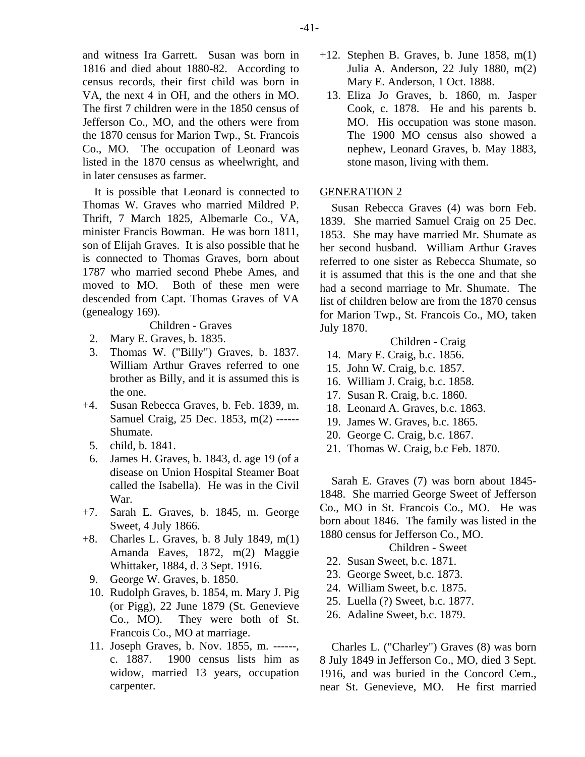and witness Ira Garrett. Susan was born in 1816 and died about 1880-82. According to census records, their first child was born in VA, the next 4 in OH, and the others in MO. The first 7 children were in the 1850 census of Jefferson Co., MO, and the others were from the 1870 census for Marion Twp., St. Francois Co., MO. The occupation of Leonard was listed in the 1870 census as wheelwright, and in later censuses as farmer.

It is possible that Leonard is connected to Thomas W. Graves who married Mildred P. Thrift, 7 March 1825, Albemarle Co., VA, minister Francis Bowman. He was born 1811, son of Elijah Graves. It is also possible that he is connected to Thomas Graves, born about 1787 who married second Phebe Ames, and moved to MO. Both of these men were descended from Capt. Thomas Graves of VA (genealogy 169).

Children - Graves

- 2. Mary E. Graves, b. 1835.
- 3. Thomas W. ("Billy") Graves, b. 1837. William Arthur Graves referred to one brother as Billy, and it is assumed this is the one.
- +4. Susan Rebecca Graves, b. Feb. 1839, m. Samuel Craig, 25 Dec. 1853, m(2) ------ Shumate.
	- 5. child, b. 1841.
	- 6. James H. Graves, b. 1843, d. age 19 (of a disease on Union Hospital Steamer Boat called the Isabella). He was in the Civil War.
- +7. Sarah E. Graves, b. 1845, m. George Sweet, 4 July 1866.
- +8. Charles L. Graves, b. 8 July 1849, m(1) Amanda Eaves, 1872, m(2) Maggie Whittaker, 1884, d. 3 Sept. 1916.
	- 9. George W. Graves, b. 1850.
	- 10. Rudolph Graves, b. 1854, m. Mary J. Pig (or Pigg), 22 June 1879 (St. Genevieve Co., MO). They were both of St. Francois Co., MO at marriage.
	- 11. Joseph Graves, b. Nov. 1855, m. ------, c. 1887. 1900 census lists him as widow, married 13 years, occupation carpenter.
- $+12$ . Stephen B. Graves, b. June 1858, m(1) Julia A. Anderson, 22 July 1880, m(2) Mary E. Anderson, 1 Oct. 1888.
- 13. Eliza Jo Graves, b. 1860, m. Jasper Cook, c. 1878. He and his parents b. MO. His occupation was stone mason. The 1900 MO census also showed a nephew, Leonard Graves, b. May 1883, stone mason, living with them.

#### GENERATION 2

Susan Rebecca Graves (4) was born Feb. 1839. She married Samuel Craig on 25 Dec. 1853. She may have married Mr. Shumate as her second husband. William Arthur Graves referred to one sister as Rebecca Shumate, so it is assumed that this is the one and that she had a second marriage to Mr. Shumate. The list of children below are from the 1870 census for Marion Twp., St. Francois Co., MO, taken July 1870.

## Children - Craig

- 14. Mary E. Craig, b.c. 1856.
- 15. John W. Craig, b.c. 1857.
- 16. William J. Craig, b.c. 1858.
- 17. Susan R. Craig, b.c. 1860.
- 18. Leonard A. Graves, b.c. 1863.
- 19. James W. Graves, b.c. 1865.
- 20. George C. Craig, b.c. 1867.
- 21. Thomas W. Craig, b.c Feb. 1870.

Sarah E. Graves (7) was born about 1845- 1848. She married George Sweet of Jefferson Co., MO in St. Francois Co., MO. He was born about 1846. The family was listed in the 1880 census for Jefferson Co., MO.

Children - Sweet

- 22. Susan Sweet, b.c. 1871.
- 23. George Sweet, b.c. 1873.
- 24. William Sweet, b.c. 1875.
- 25. Luella (?) Sweet, b.c. 1877.
- 26. Adaline Sweet, b.c. 1879.

Charles L. ("Charley") Graves (8) was born 8 July 1849 in Jefferson Co., MO, died 3 Sept. 1916, and was buried in the Concord Cem., near St. Genevieve, MO. He first married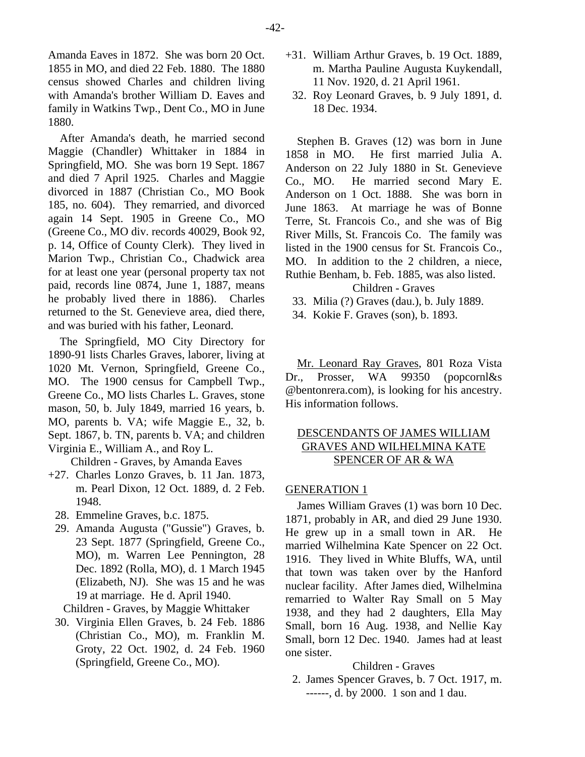Amanda Eaves in 1872. She was born 20 Oct. 1855 in MO, and died 22 Feb. 1880. The 1880 census showed Charles and children living with Amanda's brother William D. Eaves and family in Watkins Twp., Dent Co., MO in June 1880.

After Amanda's death, he married second Maggie (Chandler) Whittaker in 1884 in Springfield, MO. She was born 19 Sept. 1867 and died 7 April 1925. Charles and Maggie divorced in 1887 (Christian Co., MO Book 185, no. 604). They remarried, and divorced again 14 Sept. 1905 in Greene Co., MO (Greene Co., MO div. records 40029, Book 92, p. 14, Office of County Clerk). They lived in Marion Twp., Christian Co., Chadwick area for at least one year (personal property tax not paid, records line 0874, June 1, 1887, means he probably lived there in 1886). Charles returned to the St. Genevieve area, died there, and was buried with his father, Leonard.

The Springfield, MO City Directory for 1890-91 lists Charles Graves, laborer, living at 1020 Mt. Vernon, Springfield, Greene Co., MO. The 1900 census for Campbell Twp., Greene Co., MO lists Charles L. Graves, stone mason, 50, b. July 1849, married 16 years, b. MO, parents b. VA; wife Maggie E., 32, b. Sept. 1867, b. TN, parents b. VA; and children Virginia E., William A., and Roy L.

Children - Graves, by Amanda Eaves

- +27. Charles Lonzo Graves, b. 11 Jan. 1873, m. Pearl Dixon, 12 Oct. 1889, d. 2 Feb. 1948.
	- 28. Emmeline Graves, b.c. 1875.
	- 29. Amanda Augusta ("Gussie") Graves, b. 23 Sept. 1877 (Springfield, Greene Co., MO), m. Warren Lee Pennington, 28 Dec. 1892 (Rolla, MO), d. 1 March 1945 (Elizabeth, NJ). She was 15 and he was 19 at marriage. He d. April 1940.

Children - Graves, by Maggie Whittaker

 30. Virginia Ellen Graves, b. 24 Feb. 1886 (Christian Co., MO), m. Franklin M. Groty, 22 Oct. 1902, d. 24 Feb. 1960 (Springfield, Greene Co., MO).

- +31. William Arthur Graves, b. 19 Oct. 1889, m. Martha Pauline Augusta Kuykendall, 11 Nov. 1920, d. 21 April 1961.
	- 32. Roy Leonard Graves, b. 9 July 1891, d. 18 Dec. 1934.

Stephen B. Graves (12) was born in June 1858 in MO. He first married Julia A. Anderson on 22 July 1880 in St. Genevieve Co., MO. He married second Mary E. Anderson on 1 Oct. 1888. She was born in June 1863. At marriage he was of Bonne Terre, St. Francois Co., and she was of Big River Mills, St. Francois Co. The family was listed in the 1900 census for St. Francois Co., MO. In addition to the 2 children, a niece, Ruthie Benham, b. Feb. 1885, was also listed.

Children - Graves

- 33. Milia (?) Graves (dau.), b. July 1889.
- 34. Kokie F. Graves (son), b. 1893.

Mr. Leonard Ray Graves, 801 Roza Vista Dr., Prosser, WA 99350 (popcornl&s @bentonrera.com), is looking for his ancestry. His information follows.

# DESCENDANTS OF JAMES WILLIAM GRAVES AND WILHELMINA KATE SPENCER OF AR & WA

#### GENERATION 1

James William Graves (1) was born 10 Dec. 1871, probably in AR, and died 29 June 1930. He grew up in a small town in AR. He married Wilhelmina Kate Spencer on 22 Oct. 1916. They lived in White Bluffs, WA, until that town was taken over by the Hanford nuclear facility. After James died, Wilhelmina remarried to Walter Ray Small on 5 May 1938, and they had 2 daughters, Ella May Small, born 16 Aug. 1938, and Nellie Kay Small, born 12 Dec. 1940. James had at least one sister.

#### Children - Graves

 2. James Spencer Graves, b. 7 Oct. 1917, m. ------, d. by 2000. 1 son and 1 dau.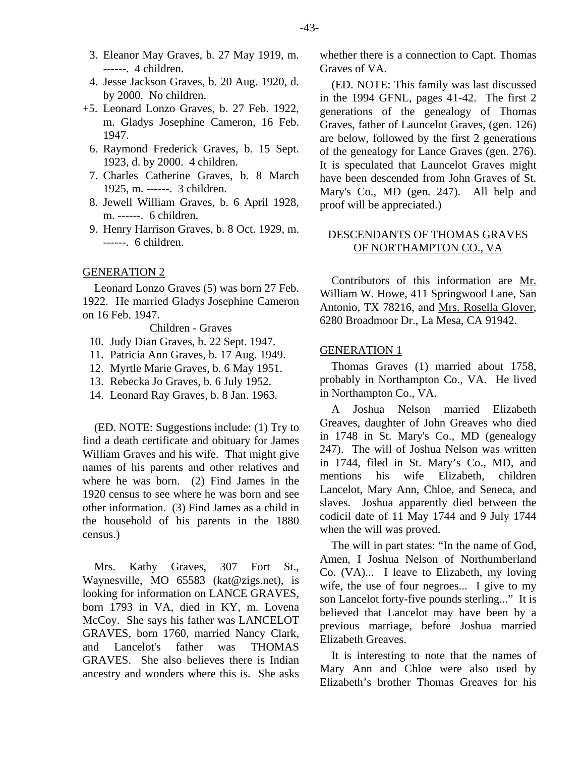- 3. Eleanor May Graves, b. 27 May 1919, m. ------. 4 children.
- 4. Jesse Jackson Graves, b. 20 Aug. 1920, d. by 2000. No children.
- +5. Leonard Lonzo Graves, b. 27 Feb. 1922, m. Gladys Josephine Cameron, 16 Feb. 1947.
	- 6. Raymond Frederick Graves, b. 15 Sept. 1923, d. by 2000. 4 children.
	- 7. Charles Catherine Graves, b. 8 March 1925, m. ------. 3 children.
	- 8. Jewell William Graves, b. 6 April 1928, m. ------. 6 children.
	- 9. Henry Harrison Graves, b. 8 Oct. 1929, m. ------. 6 children.

#### GENERATION 2

Leonard Lonzo Graves (5) was born 27 Feb. 1922. He married Gladys Josephine Cameron on 16 Feb. 1947.

Children - Graves

- 10. Judy Dian Graves, b. 22 Sept. 1947.
- 11. Patricia Ann Graves, b. 17 Aug. 1949.
- 12. Myrtle Marie Graves, b. 6 May 1951.
- 13. Rebecka Jo Graves, b. 6 July 1952.
- 14. Leonard Ray Graves, b. 8 Jan. 1963.

(ED. NOTE: Suggestions include: (1) Try to find a death certificate and obituary for James William Graves and his wife. That might give names of his parents and other relatives and where he was born. (2) Find James in the 1920 census to see where he was born and see other information. (3) Find James as a child in the household of his parents in the 1880 census.)

Mrs. Kathy Graves, 307 Fort St., Waynesville, MO 65583 (kat@zigs.net), is looking for information on LANCE GRAVES, born 1793 in VA, died in KY, m. Lovena McCoy. She says his father was LANCELOT GRAVES, born 1760, married Nancy Clark, and Lancelot's father was THOMAS GRAVES. She also believes there is Indian ancestry and wonders where this is. She asks whether there is a connection to Capt. Thomas Graves of VA.

(ED. NOTE: This family was last discussed in the 1994 GFNL, pages 41-42. The first 2 generations of the genealogy of Thomas Graves, father of Launcelot Graves, (gen. 126) are below, followed by the first 2 generations of the genealogy for Lance Graves (gen. 276). It is speculated that Launcelot Graves might have been descended from John Graves of St. Mary's Co., MD (gen. 247). All help and proof will be appreciated.)

# DESCENDANTS OF THOMAS GRAVES OF NORTHAMPTON CO., VA

Contributors of this information are Mr. William W. Howe, 411 Springwood Lane, San Antonio, TX 78216, and Mrs. Rosella Glover, 6280 Broadmoor Dr., La Mesa, CA 91942.

#### GENERATION 1

Thomas Graves (1) married about 1758, probably in Northampton Co., VA. He lived in Northampton Co., VA.

A Joshua Nelson married Elizabeth Greaves, daughter of John Greaves who died in 1748 in St. Mary's Co., MD (genealogy 247). The will of Joshua Nelson was written in 1744, filed in St. Mary's Co., MD, and mentions his wife Elizabeth, children Lancelot, Mary Ann, Chloe, and Seneca, and slaves. Joshua apparently died between the codicil date of 11 May 1744 and 9 July 1744 when the will was proved.

The will in part states: "In the name of God, Amen, I Joshua Nelson of Northumberland Co. (VA)... I leave to Elizabeth, my loving wife, the use of four negroes... I give to my son Lancelot forty-five pounds sterling..." It is believed that Lancelot may have been by a previous marriage, before Joshua married Elizabeth Greaves.

It is interesting to note that the names of Mary Ann and Chloe were also used by Elizabeth's brother Thomas Greaves for his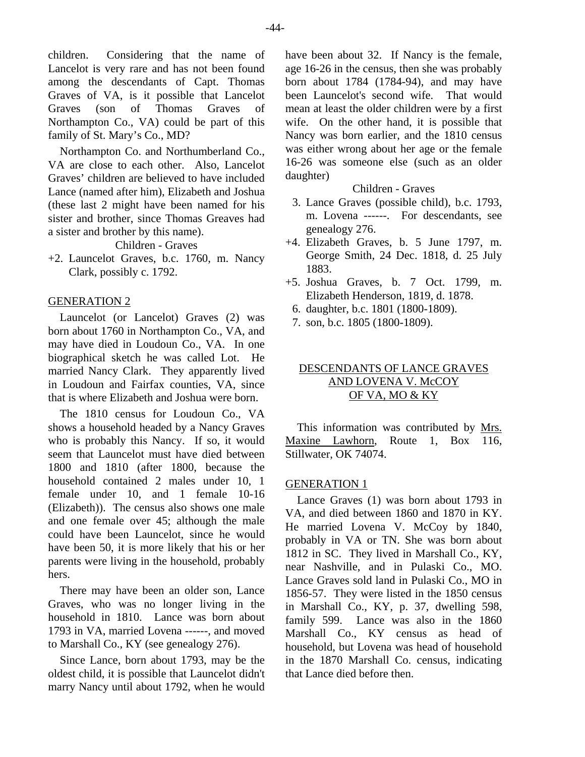children. Considering that the name of Lancelot is very rare and has not been found among the descendants of Capt. Thomas Graves of VA, is it possible that Lancelot Graves (son of Thomas Graves of Northampton Co., VA) could be part of this family of St. Mary's Co., MD?

Northampton Co. and Northumberland Co., VA are close to each other. Also, Lancelot Graves' children are believed to have included Lance (named after him), Elizabeth and Joshua (these last 2 might have been named for his sister and brother, since Thomas Greaves had a sister and brother by this name).

Children - Graves

+2. Launcelot Graves, b.c. 1760, m. Nancy Clark, possibly c. 1792.

# GENERATION 2

Launcelot (or Lancelot) Graves (2) was born about 1760 in Northampton Co., VA, and may have died in Loudoun Co., VA. In one biographical sketch he was called Lot. He married Nancy Clark. They apparently lived in Loudoun and Fairfax counties, VA, since that is where Elizabeth and Joshua were born.

The 1810 census for Loudoun Co., VA shows a household headed by a Nancy Graves who is probably this Nancy. If so, it would seem that Launcelot must have died between 1800 and 1810 (after 1800, because the household contained 2 males under 10, 1 female under 10, and 1 female 10-16 (Elizabeth)). The census also shows one male and one female over 45; although the male could have been Launcelot, since he would have been 50, it is more likely that his or her parents were living in the household, probably hers.

There may have been an older son, Lance Graves, who was no longer living in the household in 1810. Lance was born about 1793 in VA, married Lovena ------, and moved to Marshall Co., KY (see genealogy 276).

Since Lance, born about 1793, may be the oldest child, it is possible that Launcelot didn't marry Nancy until about 1792, when he would have been about 32. If Nancy is the female, age 16-26 in the census, then she was probably born about 1784 (1784-94), and may have been Launcelot's second wife. That would mean at least the older children were by a first wife. On the other hand, it is possible that Nancy was born earlier, and the 1810 census was either wrong about her age or the female 16-26 was someone else (such as an older daughter)

# Children - Graves

- 3. Lance Graves (possible child), b.c. 1793, m. Lovena ------. For descendants, see genealogy 276.
- +4. Elizabeth Graves, b. 5 June 1797, m. George Smith, 24 Dec. 1818, d. 25 July 1883.
- +5. Joshua Graves, b. 7 Oct. 1799, m. Elizabeth Henderson, 1819, d. 1878.
	- 6. daughter, b.c. 1801 (1800-1809).
	- 7. son, b.c. 1805 (1800-1809).

# DESCENDANTS OF LANCE GRAVES AND LOVENA V. McCOY OF VA, MO & KY

This information was contributed by Mrs. Maxine Lawhorn, Route 1, Box 116, Stillwater, OK 74074.

#### GENERATION 1

Lance Graves (1) was born about 1793 in VA, and died between 1860 and 1870 in KY. He married Lovena V. McCoy by 1840, probably in VA or TN. She was born about 1812 in SC. They lived in Marshall Co., KY, near Nashville, and in Pulaski Co., MO. Lance Graves sold land in Pulaski Co., MO in 1856-57. They were listed in the 1850 census in Marshall Co., KY, p. 37, dwelling 598, family 599. Lance was also in the 1860 Marshall Co., KY census as head of household, but Lovena was head of household in the 1870 Marshall Co. census, indicating that Lance died before then.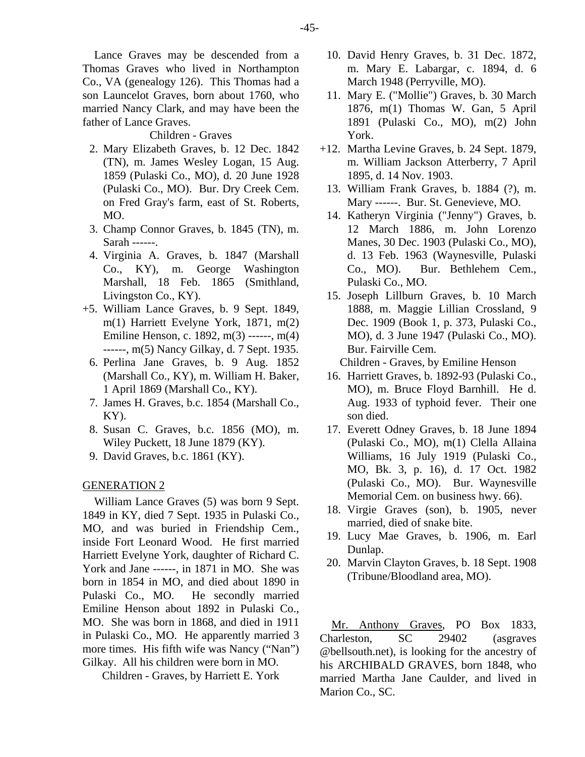Lance Graves may be descended from a Thomas Graves who lived in Northampton Co., VA (genealogy 126). This Thomas had a son Launcelot Graves, born about 1760, who married Nancy Clark, and may have been the father of Lance Graves.

#### Children - Graves

- 2. Mary Elizabeth Graves, b. 12 Dec. 1842 (TN), m. James Wesley Logan, 15 Aug. 1859 (Pulaski Co., MO), d. 20 June 1928 (Pulaski Co., MO). Bur. Dry Creek Cem. on Fred Gray's farm, east of St. Roberts, MO.
- 3. Champ Connor Graves, b. 1845 (TN), m. Sarah ------.
- 4. Virginia A. Graves, b. 1847 (Marshall Co., KY), m. George Washington Marshall, 18 Feb. 1865 (Smithland, Livingston Co., KY).
- +5. William Lance Graves, b. 9 Sept. 1849, m(1) Harriett Evelyne York, 1871, m(2) Emiline Henson, c. 1892, m(3) ------, m(4) ------, m(5) Nancy Gilkay, d. 7 Sept. 1935.
	- 6. Perlina Jane Graves, b. 9 Aug. 1852 (Marshall Co., KY), m. William H. Baker, 1 April 1869 (Marshall Co., KY).
	- 7. James H. Graves, b.c. 1854 (Marshall Co.,  $KY$ ).
	- 8. Susan C. Graves, b.c. 1856 (MO), m. Wiley Puckett, 18 June 1879 (KY).
	- 9. David Graves, b.c. 1861 (KY).

## GENERATION 2

William Lance Graves (5) was born 9 Sept. 1849 in KY, died 7 Sept. 1935 in Pulaski Co., MO, and was buried in Friendship Cem., inside Fort Leonard Wood. He first married Harriett Evelyne York, daughter of Richard C. York and Jane ------, in 1871 in MO. She was born in 1854 in MO, and died about 1890 in Pulaski Co., MO. He secondly married Emiline Henson about 1892 in Pulaski Co., MO. She was born in 1868, and died in 1911 in Pulaski Co., MO. He apparently married 3 more times. His fifth wife was Nancy ("Nan") Gilkay. All his children were born in MO.

Children - Graves, by Harriett E. York

- 10. David Henry Graves, b. 31 Dec. 1872, m. Mary E. Labargar, c. 1894, d. 6 March 1948 (Perryville, MO).
- 11. Mary E. ("Mollie") Graves, b. 30 March 1876, m(1) Thomas W. Gan, 5 April 1891 (Pulaski Co., MO), m(2) John York.
- +12. Martha Levine Graves, b. 24 Sept. 1879, m. William Jackson Atterberry, 7 April 1895, d. 14 Nov. 1903.
- 13. William Frank Graves, b. 1884 (?), m. Mary ------. Bur. St. Genevieve, MO.
- 14. Katheryn Virginia ("Jenny") Graves, b. 12 March 1886, m. John Lorenzo Manes, 30 Dec. 1903 (Pulaski Co., MO), d. 13 Feb. 1963 (Waynesville, Pulaski Co., MO). Bur. Bethlehem Cem., Pulaski Co., MO.
- 15. Joseph Lillburn Graves, b. 10 March 1888, m. Maggie Lillian Crossland, 9 Dec. 1909 (Book 1, p. 373, Pulaski Co., MO), d. 3 June 1947 (Pulaski Co., MO). Bur. Fairville Cem.

Children - Graves, by Emiline Henson

- 16. Harriett Graves, b. 1892-93 (Pulaski Co., MO), m. Bruce Floyd Barnhill. He d. Aug. 1933 of typhoid fever. Their one son died.
- 17. Everett Odney Graves, b. 18 June 1894 (Pulaski Co., MO), m(1) Clella Allaina Williams, 16 July 1919 (Pulaski Co., MO, Bk. 3, p. 16), d. 17 Oct. 1982 (Pulaski Co., MO). Bur. Waynesville Memorial Cem. on business hwy. 66).
- 18. Virgie Graves (son), b. 1905, never married, died of snake bite.
- 19. Lucy Mae Graves, b. 1906, m. Earl Dunlap.
- 20. Marvin Clayton Graves, b. 18 Sept. 1908 (Tribune/Bloodland area, MO).

Mr. Anthony Graves, PO Box 1833, Charleston, SC 29402 (asgraves @bellsouth.net), is looking for the ancestry of his ARCHIBALD GRAVES, born 1848, who married Martha Jane Caulder, and lived in Marion Co., SC.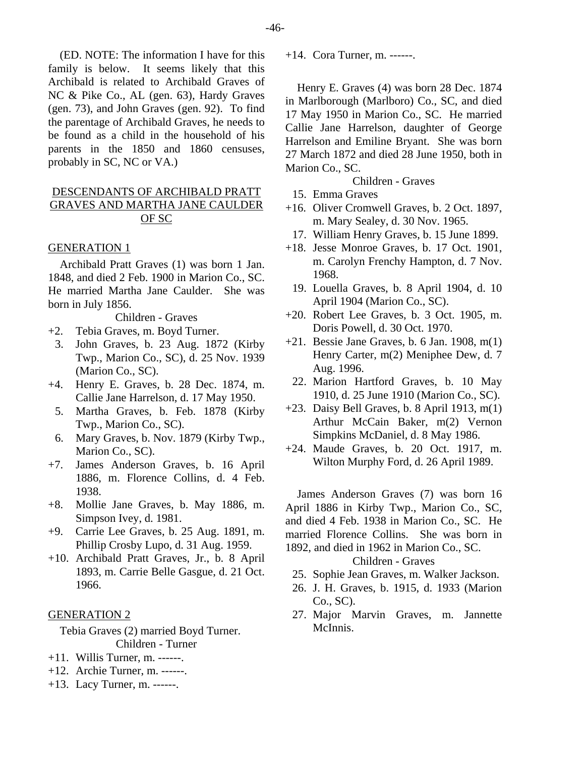(ED. NOTE: The information I have for this family is below. It seems likely that this Archibald is related to Archibald Graves of NC & Pike Co., AL (gen. 63), Hardy Graves (gen. 73), and John Graves (gen. 92). To find the parentage of Archibald Graves, he needs to be found as a child in the household of his parents in the 1850 and 1860 censuses, probably in SC, NC or VA.)

# DESCENDANTS OF ARCHIBALD PRATT GRAVES AND MARTHA JANE CAULDER OF SC

## GENERATION 1

Archibald Pratt Graves (1) was born 1 Jan. 1848, and died 2 Feb. 1900 in Marion Co., SC. He married Martha Jane Caulder. She was born in July 1856.

Children - Graves

- +2. Tebia Graves, m. Boyd Turner.
	- 3. John Graves, b. 23 Aug. 1872 (Kirby Twp., Marion Co., SC), d. 25 Nov. 1939 (Marion Co., SC).
- +4. Henry E. Graves, b. 28 Dec. 1874, m. Callie Jane Harrelson, d. 17 May 1950.
	- 5. Martha Graves, b. Feb. 1878 (Kirby Twp., Marion Co., SC).
- 6. Mary Graves, b. Nov. 1879 (Kirby Twp., Marion Co., SC).
- +7. James Anderson Graves, b. 16 April 1886, m. Florence Collins, d. 4 Feb. 1938.
- +8. Mollie Jane Graves, b. May 1886, m. Simpson Ivey, d. 1981.
- +9. Carrie Lee Graves, b. 25 Aug. 1891, m. Phillip Crosby Lupo, d. 31 Aug. 1959.
- +10. Archibald Pratt Graves, Jr., b. 8 April 1893, m. Carrie Belle Gasgue, d. 21 Oct. 1966.

# GENERATION 2

Tebia Graves (2) married Boyd Turner. Children - Turner

- +11. Willis Turner, m. ------.
- +12. Archie Turner, m. ------.
- +13. Lacy Turner, m. ------.

+14. Cora Turner, m. ------.

Henry E. Graves (4) was born 28 Dec. 1874 in Marlborough (Marlboro) Co., SC, and died 17 May 1950 in Marion Co., SC. He married Callie Jane Harrelson, daughter of George Harrelson and Emiline Bryant. She was born 27 March 1872 and died 28 June 1950, both in Marion Co., SC.

Children - Graves

- 15. Emma Graves
- +16. Oliver Cromwell Graves, b. 2 Oct. 1897, m. Mary Sealey, d. 30 Nov. 1965.
- 17. William Henry Graves, b. 15 June 1899.
- +18. Jesse Monroe Graves, b. 17 Oct. 1901, m. Carolyn Frenchy Hampton, d. 7 Nov. 1968.
- 19. Louella Graves, b. 8 April 1904, d. 10 April 1904 (Marion Co., SC).
- +20. Robert Lee Graves, b. 3 Oct. 1905, m. Doris Powell, d. 30 Oct. 1970.
- +21. Bessie Jane Graves, b. 6 Jan. 1908, m(1) Henry Carter, m(2) Meniphee Dew, d. 7 Aug. 1996.
- 22. Marion Hartford Graves, b. 10 May 1910, d. 25 June 1910 (Marion Co., SC).
- +23. Daisy Bell Graves, b. 8 April 1913, m(1) Arthur McCain Baker, m(2) Vernon Simpkins McDaniel, d. 8 May 1986.
- +24. Maude Graves, b. 20 Oct. 1917, m. Wilton Murphy Ford, d. 26 April 1989.

James Anderson Graves (7) was born 16 April 1886 in Kirby Twp., Marion Co., SC, and died 4 Feb. 1938 in Marion Co., SC. He married Florence Collins. She was born in 1892, and died in 1962 in Marion Co., SC.

## Children - Graves

- 25. Sophie Jean Graves, m. Walker Jackson.
- 26. J. H. Graves, b. 1915, d. 1933 (Marion Co., SC).
- 27. Major Marvin Graves, m. Jannette McInnis.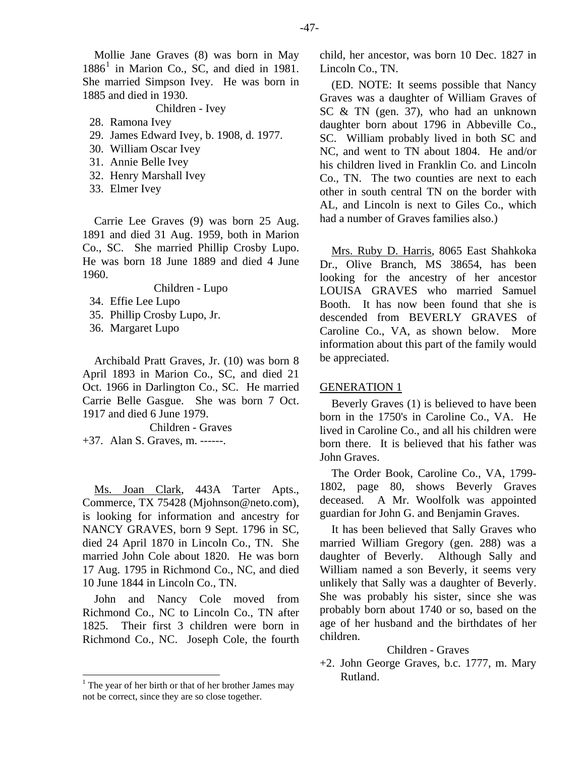Mollie Jane Graves (8) was born in May  $1886<sup>1</sup>$  $1886<sup>1</sup>$  in Marion Co., SC, and died in 1981. She married Simpson Ivey. He was born in 1885 and died in 1930.

Children - Ivey

- 28. Ramona Ivey
- 29. James Edward Ivey, b. 1908, d. 1977.
- 30. William Oscar Ivey
- 31. Annie Belle Ivey
- 32. Henry Marshall Ivey
- 33. Elmer Ivey

Carrie Lee Graves (9) was born 25 Aug. 1891 and died 31 Aug. 1959, both in Marion Co., SC. She married Phillip Crosby Lupo. He was born 18 June 1889 and died 4 June 1960.

Children - Lupo

- 34. Effie Lee Lupo
- 35. Phillip Crosby Lupo, Jr.
- 36. Margaret Lupo

Archibald Pratt Graves, Jr. (10) was born 8 April 1893 in Marion Co., SC, and died 21 Oct. 1966 in Darlington Co., SC. He married Carrie Belle Gasgue. She was born 7 Oct. 1917 and died 6 June 1979.

Children - Graves +37. Alan S. Graves, m. ------.

Ms. Joan Clark, 443A Tarter Apts., Commerce, TX 75428 (Mjohnson@neto.com), is looking for information and ancestry for NANCY GRAVES, born 9 Sept. 1796 in SC, died 24 April 1870 in Lincoln Co., TN. She married John Cole about 1820. He was born 17 Aug. 1795 in Richmond Co., NC, and died 10 June 1844 in Lincoln Co., TN.

John and Nancy Cole moved from Richmond Co., NC to Lincoln Co., TN after 1825. Their first 3 children were born in Richmond Co., NC. Joseph Cole, the fourth

child, her ancestor, was born 10 Dec. 1827 in Lincoln Co., TN.

(ED. NOTE: It seems possible that Nancy Graves was a daughter of William Graves of SC & TN (gen. 37), who had an unknown daughter born about 1796 in Abbeville Co., SC. William probably lived in both SC and NC, and went to TN about 1804. He and/or his children lived in Franklin Co. and Lincoln Co., TN. The two counties are next to each other in south central TN on the border with AL, and Lincoln is next to Giles Co., which had a number of Graves families also.)

Mrs. Ruby D. Harris, 8065 East Shahkoka Dr., Olive Branch, MS 38654, has been looking for the ancestry of her ancestor LOUISA GRAVES who married Samuel Booth. It has now been found that she is descended from BEVERLY GRAVES of Caroline Co., VA, as shown below. More information about this part of the family would be appreciated.

#### GENERATION 1

Beverly Graves (1) is believed to have been born in the 1750's in Caroline Co., VA. He lived in Caroline Co., and all his children were born there. It is believed that his father was John Graves.

The Order Book, Caroline Co., VA, 1799- 1802, page 80, shows Beverly Graves deceased. A Mr. Woolfolk was appointed guardian for John G. and Benjamin Graves.

It has been believed that Sally Graves who married William Gregory (gen. 288) was a daughter of Beverly. Although Sally and William named a son Beverly, it seems very unlikely that Sally was a daughter of Beverly. She was probably his sister, since she was probably born about 1740 or so, based on the age of her husband and the birthdates of her children.

# Children - Graves

+2. John George Graves, b.c. 1777, m. Mary Rutland.

<span id="page-22-0"></span><sup>&</sup>lt;sup>1</sup> The year of her birth or that of her brother James may not be correct, since they are so close together.